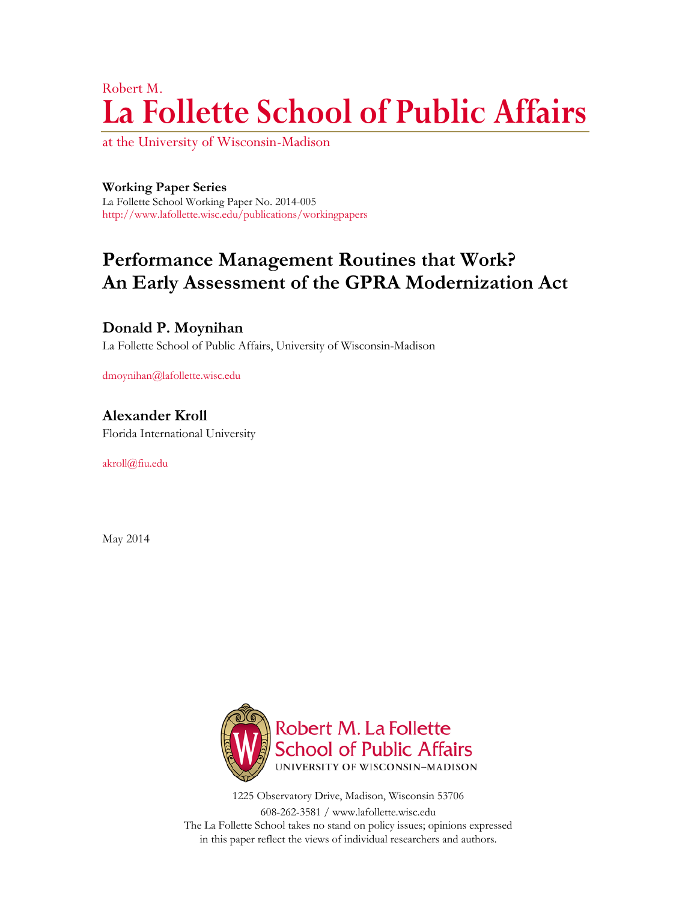# Robert M. **La Follette School of Public Affairs**

at the University of Wisconsin-Madison

### **Working Paper Series**

La Follette School Working Paper No. 2014-005 http://www.lafollette.wisc.edu/publications/workingpapers

# **Performance Management Routines that Work? An Early Assessment of the GPRA Modernization Act**

# **Donald P. Moynihan**

La Follette School of Public Affairs, University of Wisconsin-Madison

dmoynihan@lafollette.wisc.edu

**Alexander Kroll** Florida International University

akroll@fiu.edu

May 2014



1225 Observatory Drive, Madison, Wisconsin 53706 608-262-3581 / www.lafollette.wisc.edu The La Follette School takes no stand on policy issues; opinions expressed in this paper reflect the views of individual researchers and authors.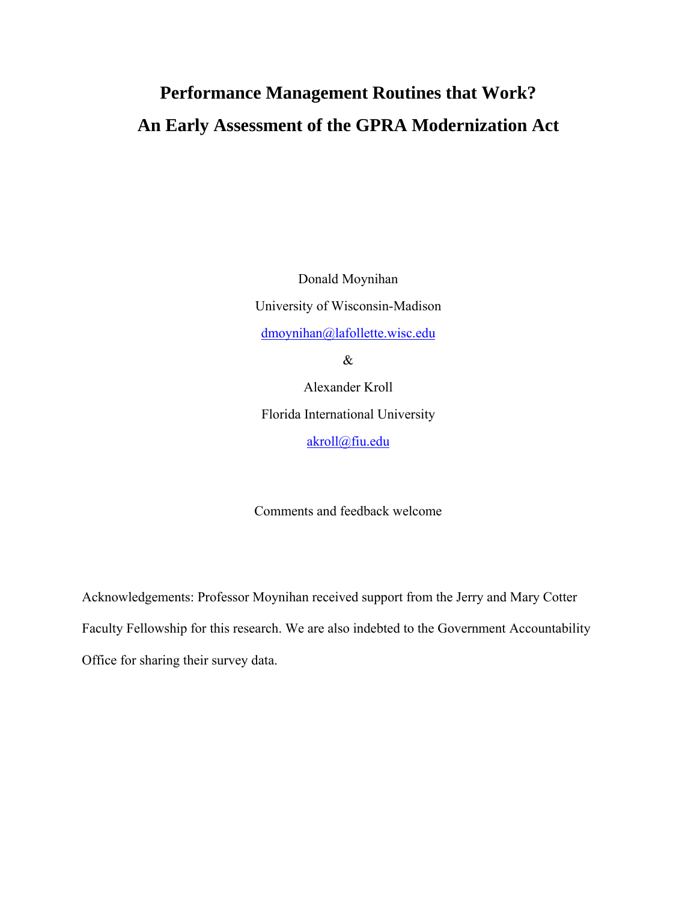# **Performance Management Routines that Work? An Early Assessment of the GPRA Modernization Act**

Donald Moynihan University of Wisconsin-Madison dmoynihan@lafollette.wisc.edu &

Alexander Kroll Florida International University akroll@fiu.edu

Comments and feedback welcome

Acknowledgements: Professor Moynihan received support from the Jerry and Mary Cotter Faculty Fellowship for this research. We are also indebted to the Government Accountability Office for sharing their survey data.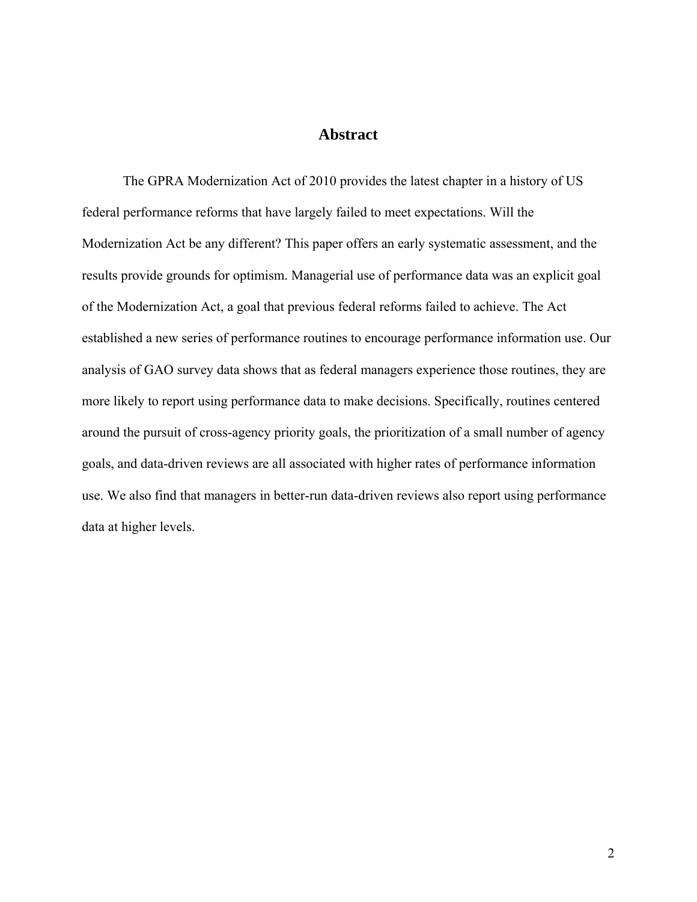# **Abstract**

The GPRA Modernization Act of 2010 provides the latest chapter in a history of US federal performance reforms that have largely failed to meet expectations. Will the Modernization Act be any different? This paper offers an early systematic assessment, and the results provide grounds for optimism. Managerial use of performance data was an explicit goal of the Modernization Act, a goal that previous federal reforms failed to achieve. The Act established a new series of performance routines to encourage performance information use. Our analysis of GAO survey data shows that as federal managers experience those routines, they are more likely to report using performance data to make decisions. Specifically, routines centered around the pursuit of cross-agency priority goals, the prioritization of a small number of agency goals, and data-driven reviews are all associated with higher rates of performance information use. We also find that managers in better-run data-driven reviews also report using performance data at higher levels.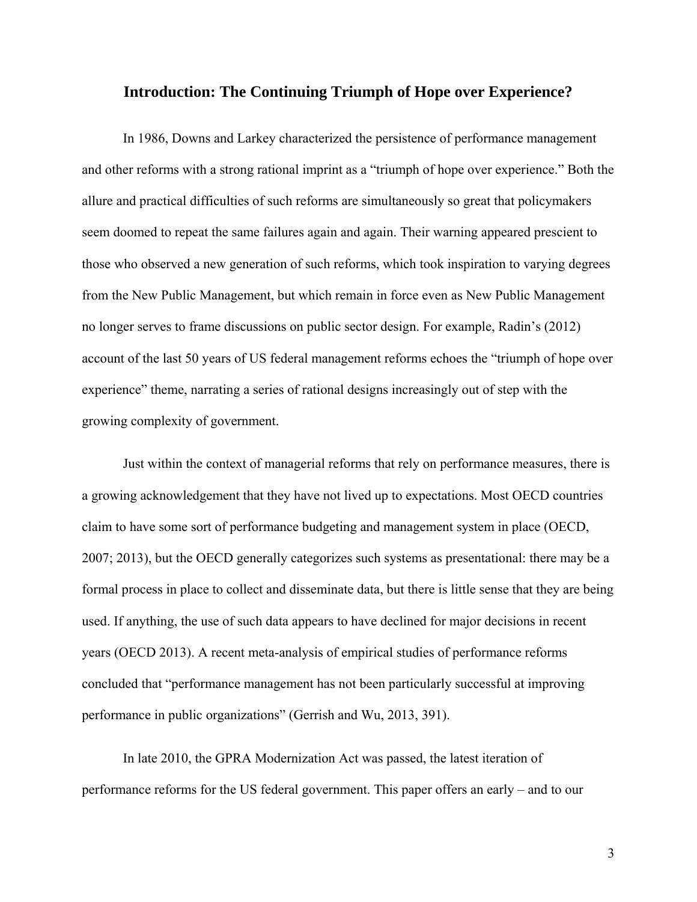# **Introduction: The Continuing Triumph of Hope over Experience?**

In 1986, Downs and Larkey characterized the persistence of performance management and other reforms with a strong rational imprint as a "triumph of hope over experience." Both the allure and practical difficulties of such reforms are simultaneously so great that policymakers seem doomed to repeat the same failures again and again. Their warning appeared prescient to those who observed a new generation of such reforms, which took inspiration to varying degrees from the New Public Management, but which remain in force even as New Public Management no longer serves to frame discussions on public sector design. For example, Radin's (2012) account of the last 50 years of US federal management reforms echoes the "triumph of hope over experience" theme, narrating a series of rational designs increasingly out of step with the growing complexity of government.

Just within the context of managerial reforms that rely on performance measures, there is a growing acknowledgement that they have not lived up to expectations. Most OECD countries claim to have some sort of performance budgeting and management system in place (OECD, 2007; 2013), but the OECD generally categorizes such systems as presentational: there may be a formal process in place to collect and disseminate data, but there is little sense that they are being used. If anything, the use of such data appears to have declined for major decisions in recent years (OECD 2013). A recent meta-analysis of empirical studies of performance reforms concluded that "performance management has not been particularly successful at improving performance in public organizations" (Gerrish and Wu, 2013, 391).

In late 2010, the GPRA Modernization Act was passed, the latest iteration of performance reforms for the US federal government. This paper offers an early – and to our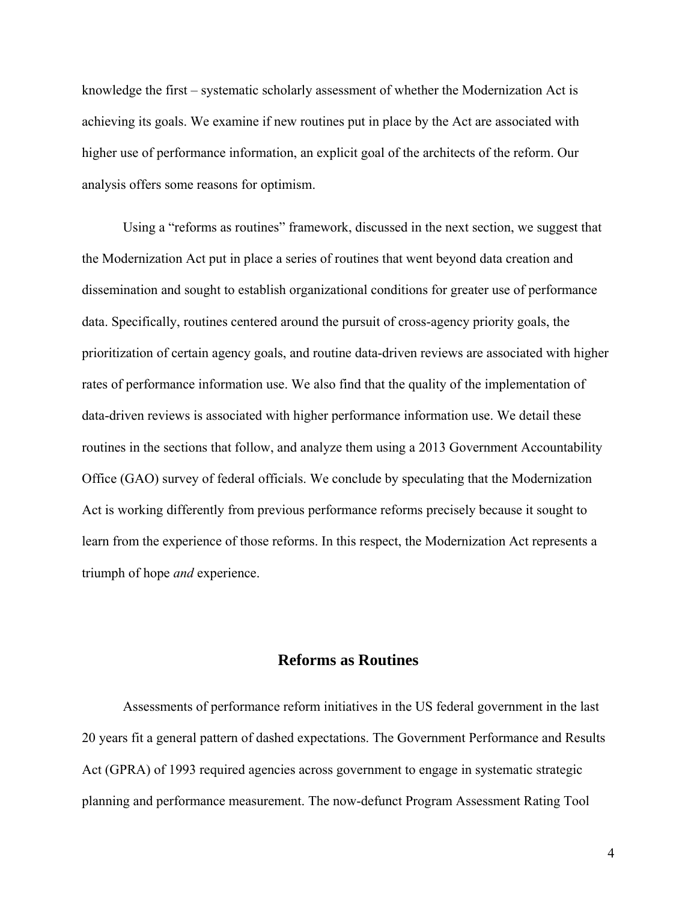knowledge the first – systematic scholarly assessment of whether the Modernization Act is achieving its goals. We examine if new routines put in place by the Act are associated with higher use of performance information, an explicit goal of the architects of the reform. Our analysis offers some reasons for optimism.

Using a "reforms as routines" framework, discussed in the next section, we suggest that the Modernization Act put in place a series of routines that went beyond data creation and dissemination and sought to establish organizational conditions for greater use of performance data. Specifically, routines centered around the pursuit of cross-agency priority goals, the prioritization of certain agency goals, and routine data-driven reviews are associated with higher rates of performance information use. We also find that the quality of the implementation of data-driven reviews is associated with higher performance information use. We detail these routines in the sections that follow, and analyze them using a 2013 Government Accountability Office (GAO) survey of federal officials. We conclude by speculating that the Modernization Act is working differently from previous performance reforms precisely because it sought to learn from the experience of those reforms. In this respect, the Modernization Act represents a triumph of hope *and* experience.

# **Reforms as Routines**

Assessments of performance reform initiatives in the US federal government in the last 20 years fit a general pattern of dashed expectations. The Government Performance and Results Act (GPRA) of 1993 required agencies across government to engage in systematic strategic planning and performance measurement. The now-defunct Program Assessment Rating Tool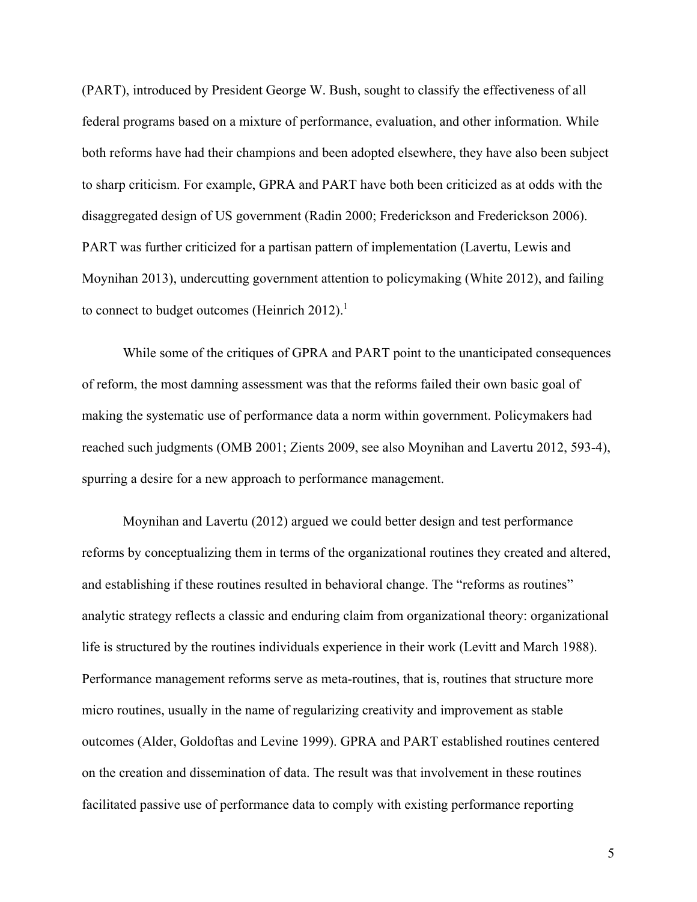(PART), introduced by President George W. Bush, sought to classify the effectiveness of all federal programs based on a mixture of performance, evaluation, and other information. While both reforms have had their champions and been adopted elsewhere, they have also been subject to sharp criticism. For example, GPRA and PART have both been criticized as at odds with the disaggregated design of US government (Radin 2000; Frederickson and Frederickson 2006). PART was further criticized for a partisan pattern of implementation (Lavertu, Lewis and Moynihan 2013), undercutting government attention to policymaking (White 2012), and failing to connect to budget outcomes (Heinrich 2012).<sup>1</sup>

While some of the critiques of GPRA and PART point to the unanticipated consequences of reform, the most damning assessment was that the reforms failed their own basic goal of making the systematic use of performance data a norm within government. Policymakers had reached such judgments (OMB 2001; Zients 2009, see also Moynihan and Lavertu 2012, 593-4), spurring a desire for a new approach to performance management.

Moynihan and Lavertu (2012) argued we could better design and test performance reforms by conceptualizing them in terms of the organizational routines they created and altered, and establishing if these routines resulted in behavioral change. The "reforms as routines" analytic strategy reflects a classic and enduring claim from organizational theory: organizational life is structured by the routines individuals experience in their work (Levitt and March 1988). Performance management reforms serve as meta-routines, that is, routines that structure more micro routines, usually in the name of regularizing creativity and improvement as stable outcomes (Alder, Goldoftas and Levine 1999). GPRA and PART established routines centered on the creation and dissemination of data. The result was that involvement in these routines facilitated passive use of performance data to comply with existing performance reporting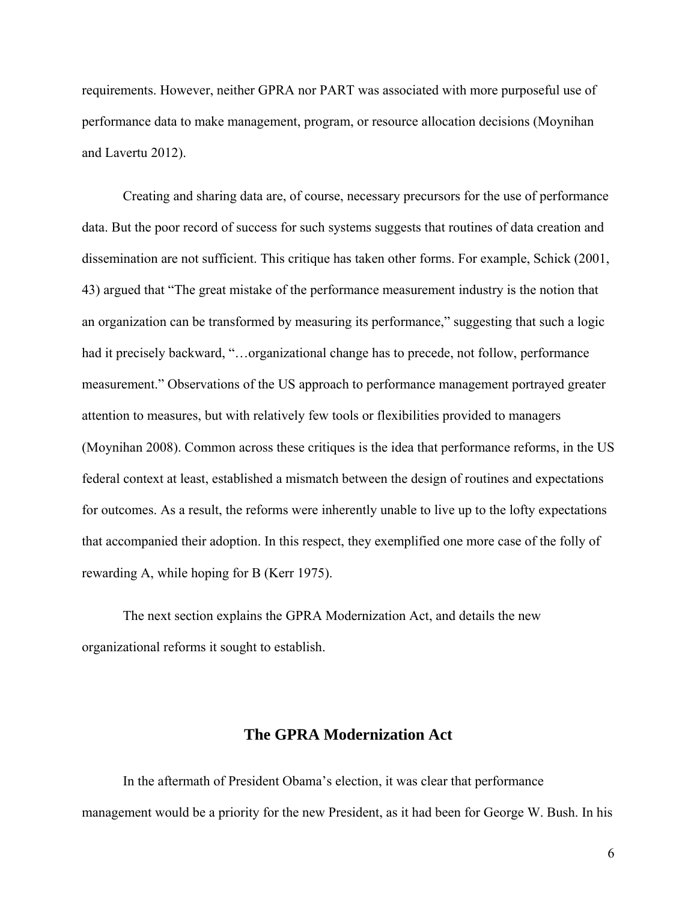requirements. However, neither GPRA nor PART was associated with more purposeful use of performance data to make management, program, or resource allocation decisions (Moynihan and Lavertu 2012).

Creating and sharing data are, of course, necessary precursors for the use of performance data. But the poor record of success for such systems suggests that routines of data creation and dissemination are not sufficient. This critique has taken other forms. For example, Schick (2001, 43) argued that "The great mistake of the performance measurement industry is the notion that an organization can be transformed by measuring its performance," suggesting that such a logic had it precisely backward, "...organizational change has to precede, not follow, performance measurement." Observations of the US approach to performance management portrayed greater attention to measures, but with relatively few tools or flexibilities provided to managers (Moynihan 2008). Common across these critiques is the idea that performance reforms, in the US federal context at least, established a mismatch between the design of routines and expectations for outcomes. As a result, the reforms were inherently unable to live up to the lofty expectations that accompanied their adoption. In this respect, they exemplified one more case of the folly of rewarding A, while hoping for B (Kerr 1975).

The next section explains the GPRA Modernization Act, and details the new organizational reforms it sought to establish.

# **The GPRA Modernization Act**

In the aftermath of President Obama's election, it was clear that performance management would be a priority for the new President, as it had been for George W. Bush. In his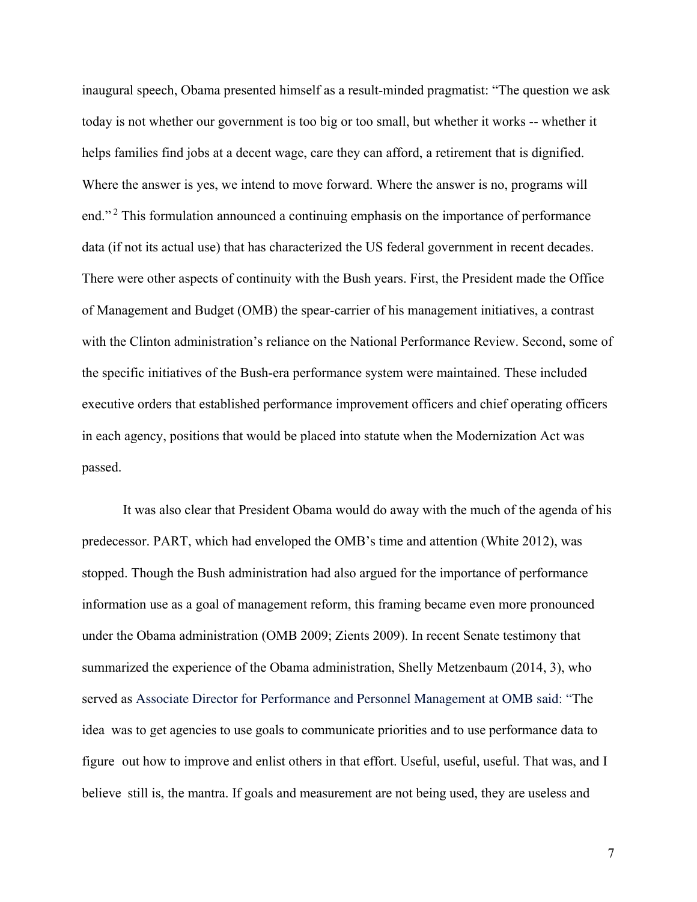inaugural speech, Obama presented himself as a result-minded pragmatist: "The question we ask today is not whether our government is too big or too small, but whether it works -- whether it helps families find jobs at a decent wage, care they can afford, a retirement that is dignified. Where the answer is yes, we intend to move forward. Where the answer is no, programs will end."<sup>2</sup> This formulation announced a continuing emphasis on the importance of performance data (if not its actual use) that has characterized the US federal government in recent decades. There were other aspects of continuity with the Bush years. First, the President made the Office of Management and Budget (OMB) the spear-carrier of his management initiatives, a contrast with the Clinton administration's reliance on the National Performance Review. Second, some of the specific initiatives of the Bush-era performance system were maintained. These included executive orders that established performance improvement officers and chief operating officers in each agency, positions that would be placed into statute when the Modernization Act was passed.

It was also clear that President Obama would do away with the much of the agenda of his predecessor. PART, which had enveloped the OMB's time and attention (White 2012), was stopped. Though the Bush administration had also argued for the importance of performance information use as a goal of management reform, this framing became even more pronounced under the Obama administration (OMB 2009; Zients 2009). In recent Senate testimony that summarized the experience of the Obama administration, Shelly Metzenbaum (2014, 3), who served as Associate Director for Performance and Personnel Management at OMB said: "The idea was to get agencies to use goals to communicate priorities and to use performance data to figure out how to improve and enlist others in that effort. Useful, useful, useful. That was, and I believe still is, the mantra. If goals and measurement are not being used, they are useless and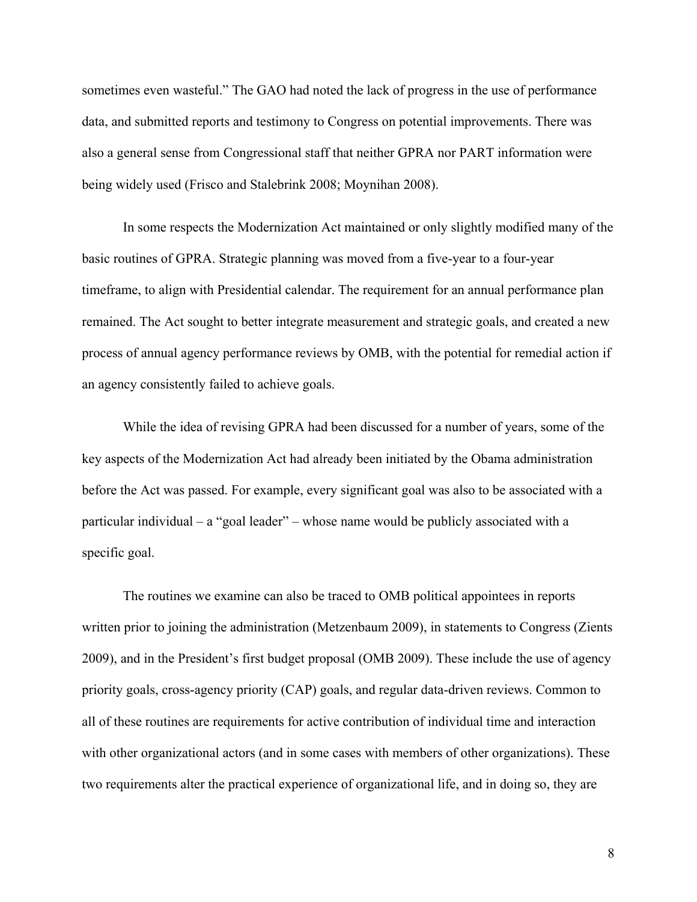sometimes even wasteful." The GAO had noted the lack of progress in the use of performance data, and submitted reports and testimony to Congress on potential improvements. There was also a general sense from Congressional staff that neither GPRA nor PART information were being widely used (Frisco and Stalebrink 2008; Moynihan 2008).

In some respects the Modernization Act maintained or only slightly modified many of the basic routines of GPRA. Strategic planning was moved from a five-year to a four-year timeframe, to align with Presidential calendar. The requirement for an annual performance plan remained. The Act sought to better integrate measurement and strategic goals, and created a new process of annual agency performance reviews by OMB, with the potential for remedial action if an agency consistently failed to achieve goals.

While the idea of revising GPRA had been discussed for a number of years, some of the key aspects of the Modernization Act had already been initiated by the Obama administration before the Act was passed. For example, every significant goal was also to be associated with a particular individual – a "goal leader" – whose name would be publicly associated with a specific goal.

The routines we examine can also be traced to OMB political appointees in reports written prior to joining the administration (Metzenbaum 2009), in statements to Congress (Zients 2009), and in the President's first budget proposal (OMB 2009). These include the use of agency priority goals, cross-agency priority (CAP) goals, and regular data-driven reviews. Common to all of these routines are requirements for active contribution of individual time and interaction with other organizational actors (and in some cases with members of other organizations). These two requirements alter the practical experience of organizational life, and in doing so, they are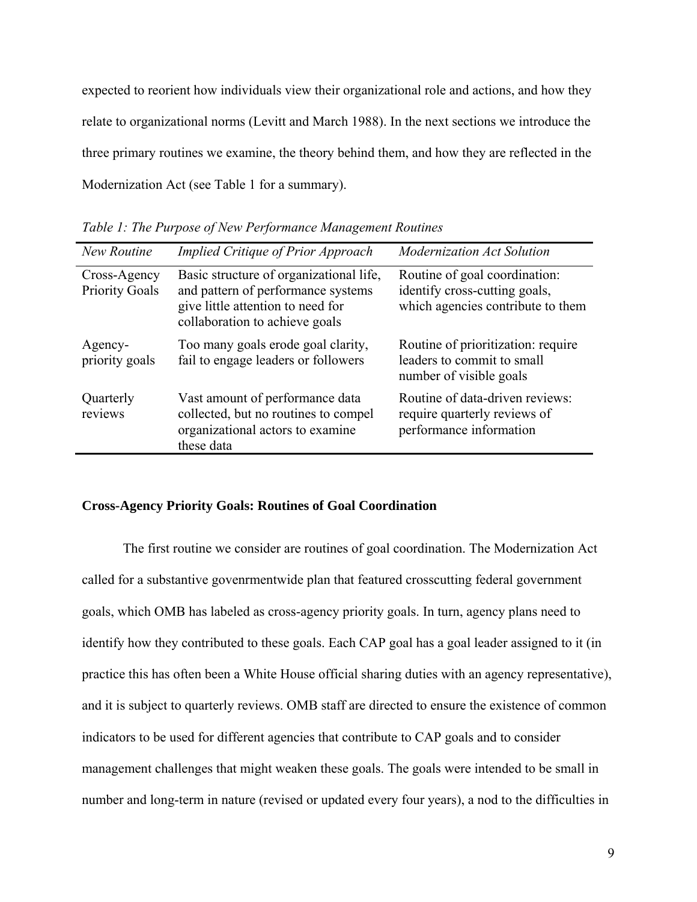expected to reorient how individuals view their organizational role and actions, and how they relate to organizational norms (Levitt and March 1988). In the next sections we introduce the three primary routines we examine, the theory behind them, and how they are reflected in the Modernization Act (see Table 1 for a summary).

| New Routine                           | <b>Implied Critique of Prior Approach</b>                                                                                                            | Modernization Act Solution                                                                          |
|---------------------------------------|------------------------------------------------------------------------------------------------------------------------------------------------------|-----------------------------------------------------------------------------------------------------|
| Cross-Agency<br><b>Priority Goals</b> | Basic structure of organizational life,<br>and pattern of performance systems<br>give little attention to need for<br>collaboration to achieve goals | Routine of goal coordination:<br>identify cross-cutting goals,<br>which agencies contribute to them |
| Agency-<br>priority goals             | Too many goals erode goal clarity,<br>fail to engage leaders or followers                                                                            | Routine of prioritization: require<br>leaders to commit to small<br>number of visible goals         |
| Quarterly<br>reviews                  | Vast amount of performance data<br>collected, but no routines to compel<br>organizational actors to examine<br>these data                            | Routine of data-driven reviews:<br>require quarterly reviews of<br>performance information          |

*Table 1: The Purpose of New Performance Management Routines* 

#### **Cross-Agency Priority Goals: Routines of Goal Coordination**

The first routine we consider are routines of goal coordination. The Modernization Act called for a substantive govenrmentwide plan that featured crosscutting federal government goals, which OMB has labeled as cross-agency priority goals. In turn, agency plans need to identify how they contributed to these goals. Each CAP goal has a goal leader assigned to it (in practice this has often been a White House official sharing duties with an agency representative), and it is subject to quarterly reviews. OMB staff are directed to ensure the existence of common indicators to be used for different agencies that contribute to CAP goals and to consider management challenges that might weaken these goals. The goals were intended to be small in number and long-term in nature (revised or updated every four years), a nod to the difficulties in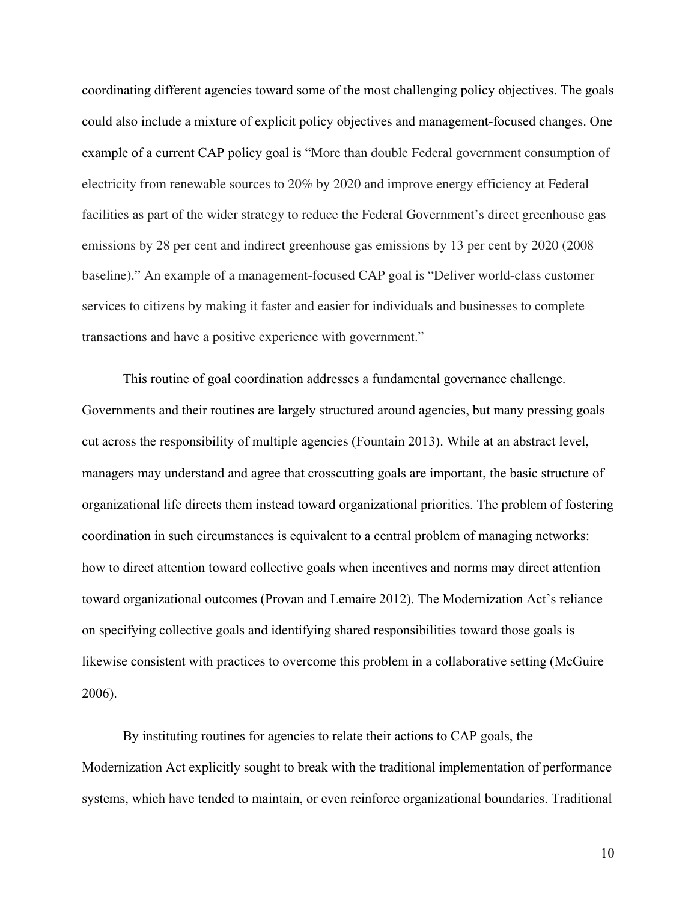coordinating different agencies toward some of the most challenging policy objectives. The goals could also include a mixture of explicit policy objectives and management-focused changes. One example of a current CAP policy goal is "More than double Federal government consumption of electricity from renewable sources to 20% by 2020 and improve energy efficiency at Federal facilities as part of the wider strategy to reduce the Federal Government's direct greenhouse gas emissions by 28 per cent and indirect greenhouse gas emissions by 13 per cent by 2020 (2008 baseline)." An example of a management-focused CAP goal is "Deliver world-class customer services to citizens by making it faster and easier for individuals and businesses to complete transactions and have a positive experience with government."

This routine of goal coordination addresses a fundamental governance challenge. Governments and their routines are largely structured around agencies, but many pressing goals cut across the responsibility of multiple agencies (Fountain 2013). While at an abstract level, managers may understand and agree that crosscutting goals are important, the basic structure of organizational life directs them instead toward organizational priorities. The problem of fostering coordination in such circumstances is equivalent to a central problem of managing networks: how to direct attention toward collective goals when incentives and norms may direct attention toward organizational outcomes (Provan and Lemaire 2012). The Modernization Act's reliance on specifying collective goals and identifying shared responsibilities toward those goals is likewise consistent with practices to overcome this problem in a collaborative setting (McGuire 2006).

By instituting routines for agencies to relate their actions to CAP goals, the Modernization Act explicitly sought to break with the traditional implementation of performance systems, which have tended to maintain, or even reinforce organizational boundaries. Traditional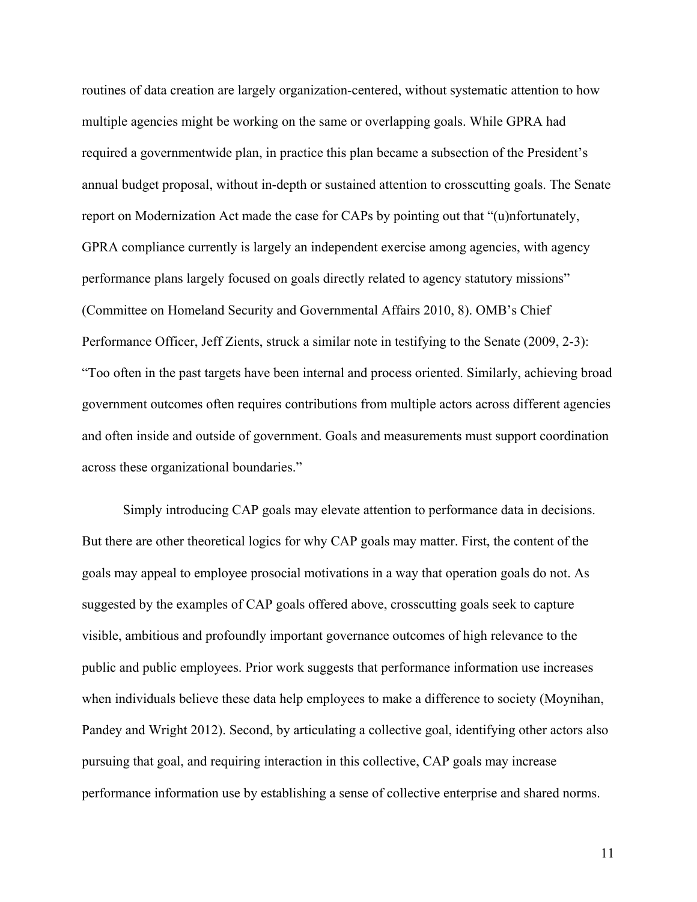routines of data creation are largely organization-centered, without systematic attention to how multiple agencies might be working on the same or overlapping goals. While GPRA had required a governmentwide plan, in practice this plan became a subsection of the President's annual budget proposal, without in-depth or sustained attention to crosscutting goals. The Senate report on Modernization Act made the case for CAPs by pointing out that "(u)nfortunately, GPRA compliance currently is largely an independent exercise among agencies, with agency performance plans largely focused on goals directly related to agency statutory missions" (Committee on Homeland Security and Governmental Affairs 2010, 8). OMB's Chief Performance Officer, Jeff Zients, struck a similar note in testifying to the Senate (2009, 2-3): "Too often in the past targets have been internal and process oriented. Similarly, achieving broad government outcomes often requires contributions from multiple actors across different agencies and often inside and outside of government. Goals and measurements must support coordination across these organizational boundaries."

Simply introducing CAP goals may elevate attention to performance data in decisions. But there are other theoretical logics for why CAP goals may matter. First, the content of the goals may appeal to employee prosocial motivations in a way that operation goals do not. As suggested by the examples of CAP goals offered above, crosscutting goals seek to capture visible, ambitious and profoundly important governance outcomes of high relevance to the public and public employees. Prior work suggests that performance information use increases when individuals believe these data help employees to make a difference to society (Moynihan, Pandey and Wright 2012). Second, by articulating a collective goal, identifying other actors also pursuing that goal, and requiring interaction in this collective, CAP goals may increase performance information use by establishing a sense of collective enterprise and shared norms.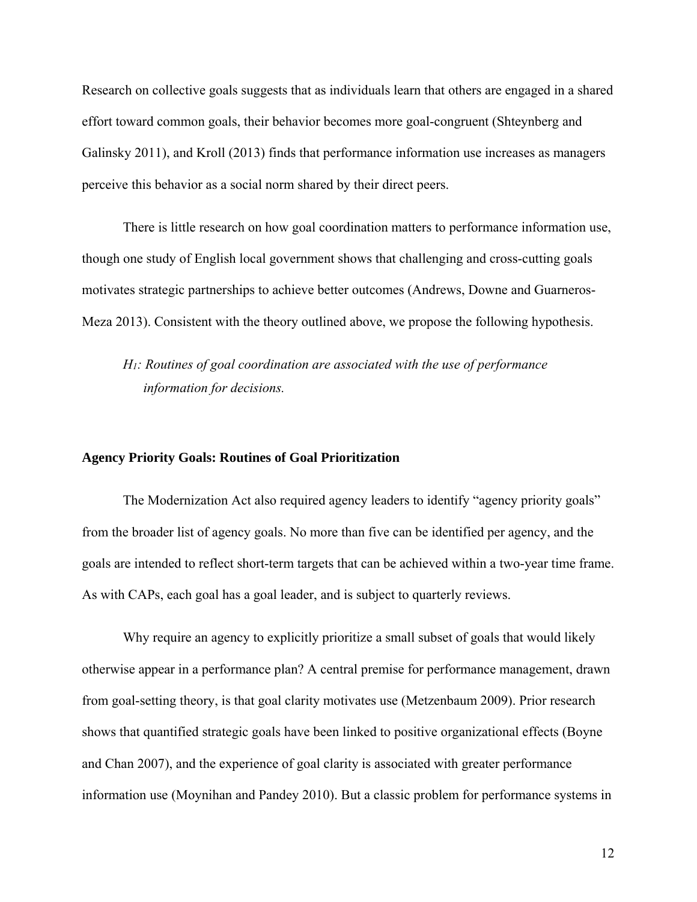Research on collective goals suggests that as individuals learn that others are engaged in a shared effort toward common goals, their behavior becomes more goal-congruent (Shteynberg and Galinsky 2011), and Kroll (2013) finds that performance information use increases as managers perceive this behavior as a social norm shared by their direct peers.

There is little research on how goal coordination matters to performance information use, though one study of English local government shows that challenging and cross-cutting goals motivates strategic partnerships to achieve better outcomes (Andrews, Downe and Guarneros-Meza 2013). Consistent with the theory outlined above, we propose the following hypothesis.

*H1: Routines of goal coordination are associated with the use of performance information for decisions.* 

#### **Agency Priority Goals: Routines of Goal Prioritization**

The Modernization Act also required agency leaders to identify "agency priority goals" from the broader list of agency goals. No more than five can be identified per agency, and the goals are intended to reflect short-term targets that can be achieved within a two-year time frame. As with CAPs, each goal has a goal leader, and is subject to quarterly reviews.

Why require an agency to explicitly prioritize a small subset of goals that would likely otherwise appear in a performance plan? A central premise for performance management, drawn from goal-setting theory, is that goal clarity motivates use (Metzenbaum 2009). Prior research shows that quantified strategic goals have been linked to positive organizational effects (Boyne and Chan 2007), and the experience of goal clarity is associated with greater performance information use (Moynihan and Pandey 2010). But a classic problem for performance systems in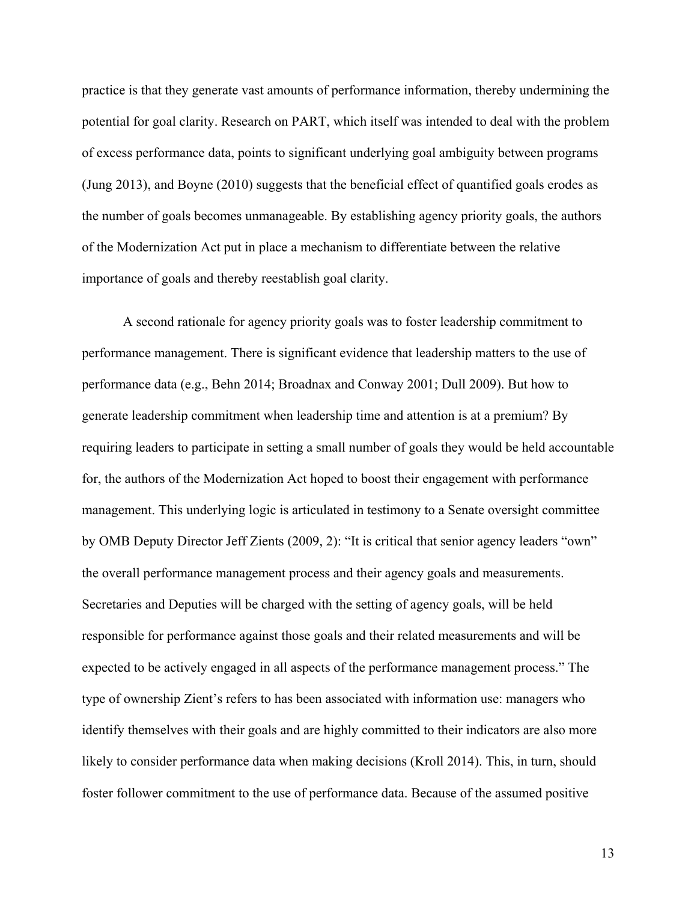practice is that they generate vast amounts of performance information, thereby undermining the potential for goal clarity. Research on PART, which itself was intended to deal with the problem of excess performance data, points to significant underlying goal ambiguity between programs (Jung 2013), and Boyne (2010) suggests that the beneficial effect of quantified goals erodes as the number of goals becomes unmanageable. By establishing agency priority goals, the authors of the Modernization Act put in place a mechanism to differentiate between the relative importance of goals and thereby reestablish goal clarity.

A second rationale for agency priority goals was to foster leadership commitment to performance management. There is significant evidence that leadership matters to the use of performance data (e.g., Behn 2014; Broadnax and Conway 2001; Dull 2009). But how to generate leadership commitment when leadership time and attention is at a premium? By requiring leaders to participate in setting a small number of goals they would be held accountable for, the authors of the Modernization Act hoped to boost their engagement with performance management. This underlying logic is articulated in testimony to a Senate oversight committee by OMB Deputy Director Jeff Zients (2009, 2): "It is critical that senior agency leaders "own" the overall performance management process and their agency goals and measurements. Secretaries and Deputies will be charged with the setting of agency goals, will be held responsible for performance against those goals and their related measurements and will be expected to be actively engaged in all aspects of the performance management process." The type of ownership Zient's refers to has been associated with information use: managers who identify themselves with their goals and are highly committed to their indicators are also more likely to consider performance data when making decisions (Kroll 2014). This, in turn, should foster follower commitment to the use of performance data. Because of the assumed positive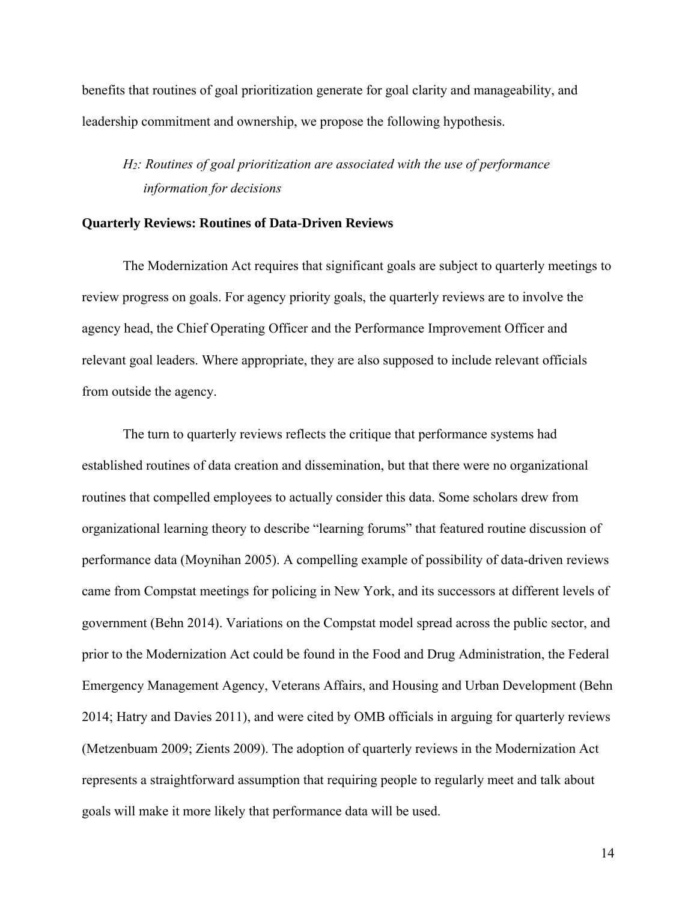benefits that routines of goal prioritization generate for goal clarity and manageability, and leadership commitment and ownership, we propose the following hypothesis.

# *H2: Routines of goal prioritization are associated with the use of performance information for decisions*

#### **Quarterly Reviews: Routines of Data-Driven Reviews**

The Modernization Act requires that significant goals are subject to quarterly meetings to review progress on goals. For agency priority goals, the quarterly reviews are to involve the agency head, the Chief Operating Officer and the Performance Improvement Officer and relevant goal leaders. Where appropriate, they are also supposed to include relevant officials from outside the agency.

The turn to quarterly reviews reflects the critique that performance systems had established routines of data creation and dissemination, but that there were no organizational routines that compelled employees to actually consider this data. Some scholars drew from organizational learning theory to describe "learning forums" that featured routine discussion of performance data (Moynihan 2005). A compelling example of possibility of data-driven reviews came from Compstat meetings for policing in New York, and its successors at different levels of government (Behn 2014). Variations on the Compstat model spread across the public sector, and prior to the Modernization Act could be found in the Food and Drug Administration, the Federal Emergency Management Agency, Veterans Affairs, and Housing and Urban Development (Behn 2014; Hatry and Davies 2011), and were cited by OMB officials in arguing for quarterly reviews (Metzenbuam 2009; Zients 2009). The adoption of quarterly reviews in the Modernization Act represents a straightforward assumption that requiring people to regularly meet and talk about goals will make it more likely that performance data will be used.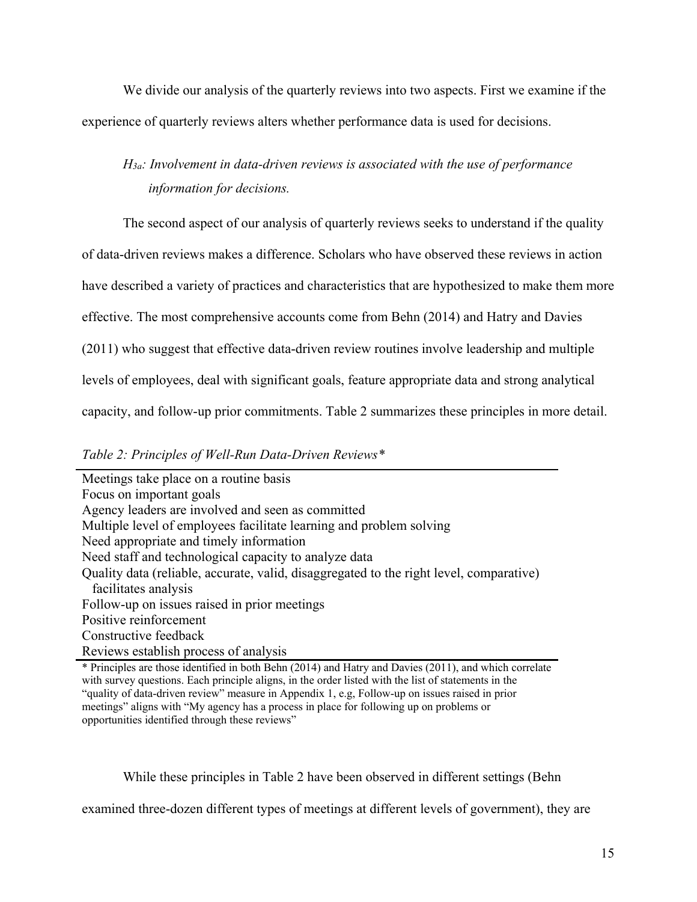We divide our analysis of the quarterly reviews into two aspects. First we examine if the experience of quarterly reviews alters whether performance data is used for decisions.

# *H3a: Involvement in data-driven reviews is associated with the use of performance information for decisions.*

The second aspect of our analysis of quarterly reviews seeks to understand if the quality

of data-driven reviews makes a difference. Scholars who have observed these reviews in action

have described a variety of practices and characteristics that are hypothesized to make them more

effective. The most comprehensive accounts come from Behn (2014) and Hatry and Davies

(2011) who suggest that effective data-driven review routines involve leadership and multiple

levels of employees, deal with significant goals, feature appropriate data and strong analytical

capacity, and follow-up prior commitments. Table 2 summarizes these principles in more detail.

*Table 2: Principles of Well-Run Data-Driven Reviews\** 

Meetings take place on a routine basis Focus on important goals Agency leaders are involved and seen as committed Multiple level of employees facilitate learning and problem solving Need appropriate and timely information Need staff and technological capacity to analyze data Quality data (reliable, accurate, valid, disaggregated to the right level, comparative) facilitates analysis Follow-up on issues raised in prior meetings Positive reinforcement Constructive feedback Reviews establish process of analysis

\* Principles are those identified in both Behn (2014) and Hatry and Davies (2011), and which correlate with survey questions. Each principle aligns, in the order listed with the list of statements in the "quality of data-driven review" measure in Appendix 1, e.g, Follow-up on issues raised in prior meetings" aligns with "My agency has a process in place for following up on problems or opportunities identified through these reviews"

While these principles in Table 2 have been observed in different settings (Behn

examined three-dozen different types of meetings at different levels of government), they are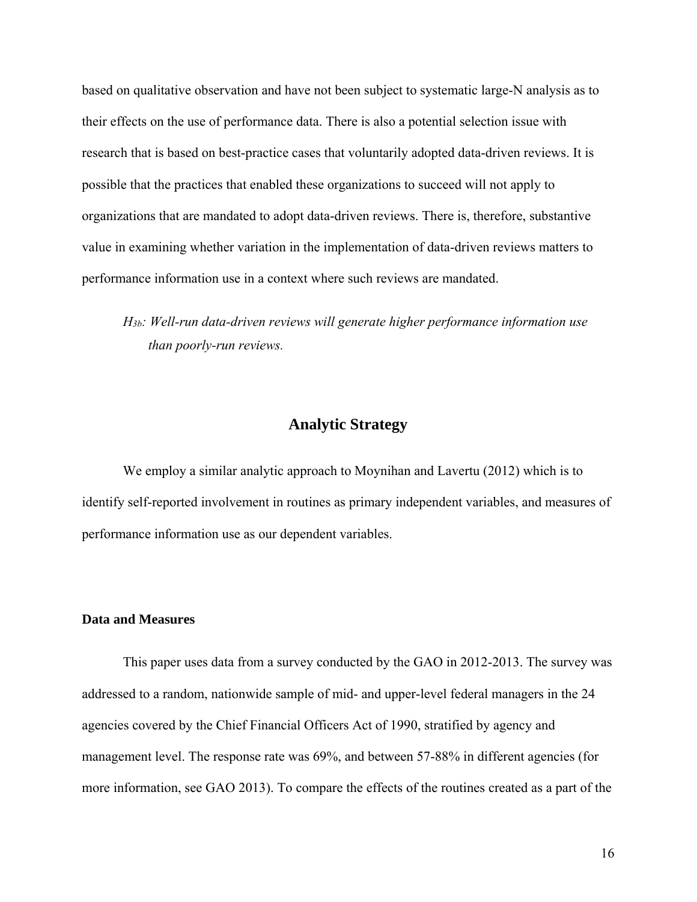based on qualitative observation and have not been subject to systematic large-N analysis as to their effects on the use of performance data. There is also a potential selection issue with research that is based on best-practice cases that voluntarily adopted data-driven reviews. It is possible that the practices that enabled these organizations to succeed will not apply to organizations that are mandated to adopt data-driven reviews. There is, therefore, substantive value in examining whether variation in the implementation of data-driven reviews matters to performance information use in a context where such reviews are mandated.

*H3b: Well-run data-driven reviews will generate higher performance information use than poorly-run reviews.* 

# **Analytic Strategy**

We employ a similar analytic approach to Moynihan and Lavertu (2012) which is to identify self-reported involvement in routines as primary independent variables, and measures of performance information use as our dependent variables.

#### **Data and Measures**

This paper uses data from a survey conducted by the GAO in 2012-2013. The survey was addressed to a random, nationwide sample of mid- and upper-level federal managers in the 24 agencies covered by the Chief Financial Officers Act of 1990, stratified by agency and management level. The response rate was 69%, and between 57-88% in different agencies (for more information, see GAO 2013). To compare the effects of the routines created as a part of the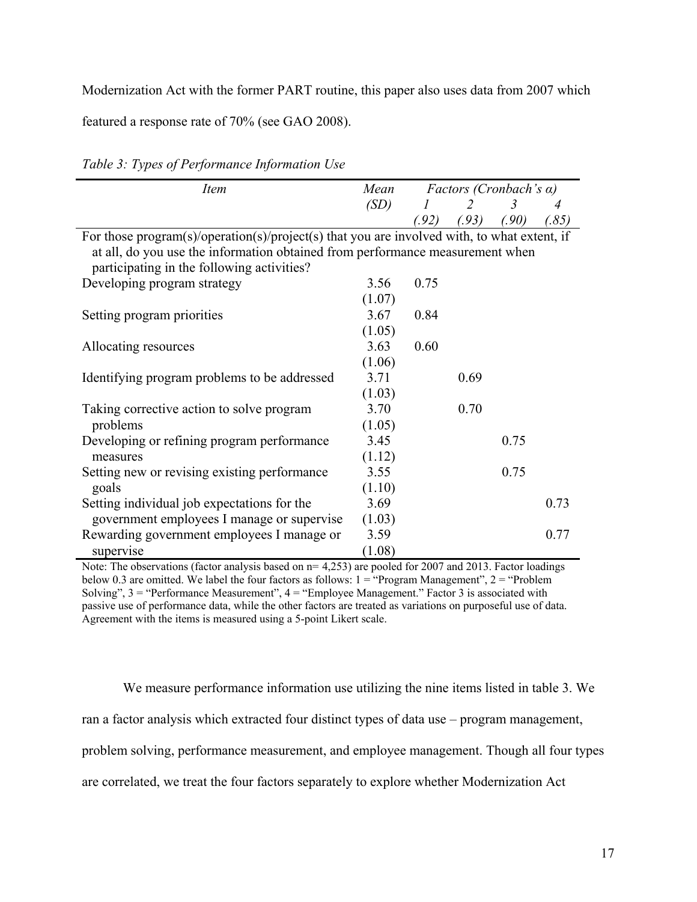Modernization Act with the former PART routine, this paper also uses data from 2007 which

featured a response rate of 70% (see GAO 2008).

| <i>Item</i>                                                                                 | Mean   | <i>Factors (Cronbach's <math>\alpha</math>)</i> |       |       |       |  |
|---------------------------------------------------------------------------------------------|--------|-------------------------------------------------|-------|-------|-------|--|
|                                                                                             | (SD)   |                                                 | 2     | 3     |       |  |
|                                                                                             |        | (92)                                            | (.93) | (.90) | (.85) |  |
| For those program(s)/operation(s)/project(s) that you are involved with, to what extent, if |        |                                                 |       |       |       |  |
| at all, do you use the information obtained from performance measurement when               |        |                                                 |       |       |       |  |
| participating in the following activities?                                                  |        |                                                 |       |       |       |  |
| Developing program strategy                                                                 | 3.56   | 0.75                                            |       |       |       |  |
|                                                                                             | (1.07) |                                                 |       |       |       |  |
| Setting program priorities                                                                  | 3.67   | 0.84                                            |       |       |       |  |
|                                                                                             | (1.05) |                                                 |       |       |       |  |
| Allocating resources                                                                        | 3.63   | 0.60                                            |       |       |       |  |
|                                                                                             | (1.06) |                                                 |       |       |       |  |
| Identifying program problems to be addressed                                                | 3.71   |                                                 | 0.69  |       |       |  |
|                                                                                             | (1.03) |                                                 |       |       |       |  |
| Taking corrective action to solve program                                                   | 3.70   |                                                 | 0.70  |       |       |  |
| problems                                                                                    | (1.05) |                                                 |       |       |       |  |
| Developing or refining program performance                                                  | 3.45   |                                                 |       | 0.75  |       |  |
| measures                                                                                    | (1.12) |                                                 |       |       |       |  |
| Setting new or revising existing performance                                                | 3.55   |                                                 |       | 0.75  |       |  |
| goals                                                                                       | (1.10) |                                                 |       |       |       |  |
| Setting individual job expectations for the                                                 | 3.69   |                                                 |       |       | 0.73  |  |
| government employees I manage or supervise                                                  | (1.03) |                                                 |       |       |       |  |
| Rewarding government employees I manage or                                                  | 3.59   |                                                 |       |       | 0.77  |  |
| supervise                                                                                   | (1.08) |                                                 |       |       |       |  |

*Table 3: Types of Performance Information Use* 

Note: The observations (factor analysis based on  $n= 4,253$ ) are pooled for 2007 and 2013. Factor loadings below 0.3 are omitted. We label the four factors as follows:  $1 =$  "Program Management",  $2 =$  "Problem" Solving", 3 = "Performance Measurement", 4 = "Employee Management." Factor 3 is associated with passive use of performance data, while the other factors are treated as variations on purposeful use of data. Agreement with the items is measured using a 5-point Likert scale.

We measure performance information use utilizing the nine items listed in table 3. We ran a factor analysis which extracted four distinct types of data use – program management, problem solving, performance measurement, and employee management. Though all four types are correlated, we treat the four factors separately to explore whether Modernization Act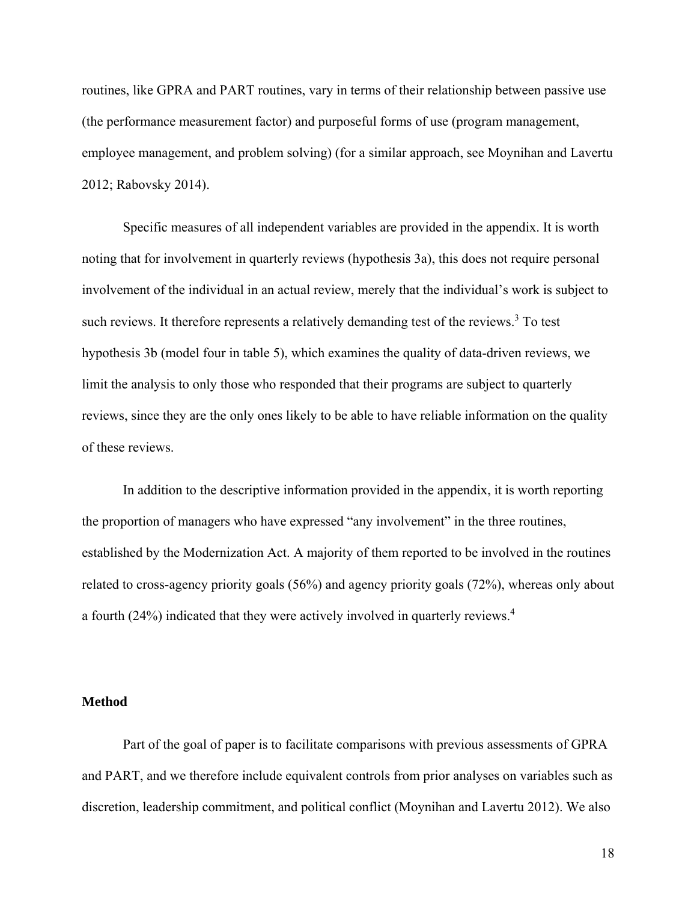routines, like GPRA and PART routines, vary in terms of their relationship between passive use (the performance measurement factor) and purposeful forms of use (program management, employee management, and problem solving) (for a similar approach, see Moynihan and Lavertu 2012; Rabovsky 2014).

Specific measures of all independent variables are provided in the appendix. It is worth noting that for involvement in quarterly reviews (hypothesis 3a), this does not require personal involvement of the individual in an actual review, merely that the individual's work is subject to such reviews. It therefore represents a relatively demanding test of the reviews.<sup>3</sup> To test hypothesis 3b (model four in table 5), which examines the quality of data-driven reviews, we limit the analysis to only those who responded that their programs are subject to quarterly reviews, since they are the only ones likely to be able to have reliable information on the quality of these reviews.

In addition to the descriptive information provided in the appendix, it is worth reporting the proportion of managers who have expressed "any involvement" in the three routines, established by the Modernization Act. A majority of them reported to be involved in the routines related to cross-agency priority goals (56%) and agency priority goals (72%), whereas only about a fourth (24%) indicated that they were actively involved in quarterly reviews.<sup>4</sup>

#### **Method**

Part of the goal of paper is to facilitate comparisons with previous assessments of GPRA and PART, and we therefore include equivalent controls from prior analyses on variables such as discretion, leadership commitment, and political conflict (Moynihan and Lavertu 2012). We also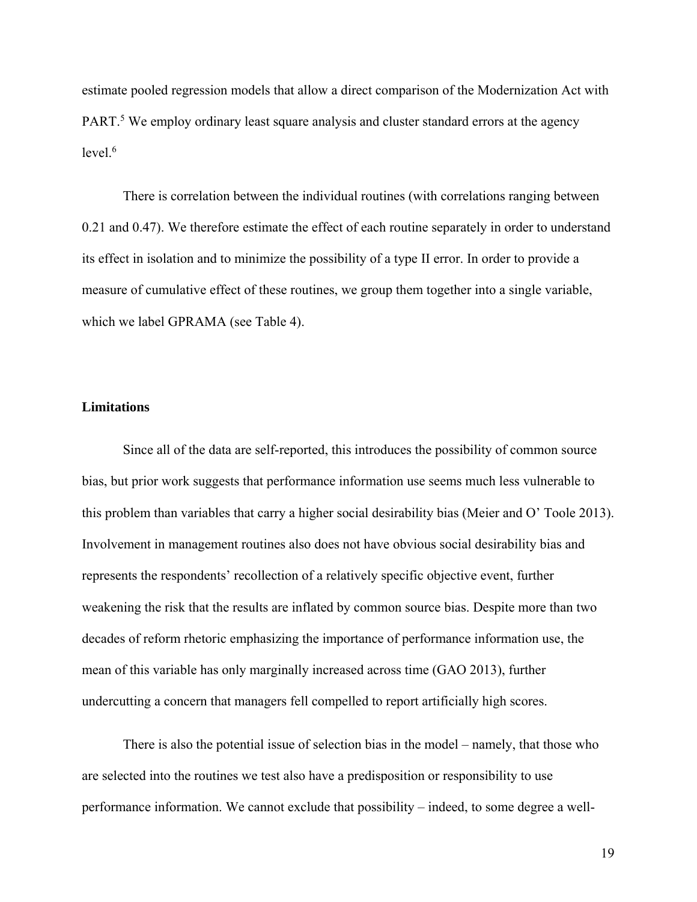estimate pooled regression models that allow a direct comparison of the Modernization Act with PART.<sup>5</sup> We employ ordinary least square analysis and cluster standard errors at the agency  $level.<sub>6</sub>$ 

There is correlation between the individual routines (with correlations ranging between 0.21 and 0.47). We therefore estimate the effect of each routine separately in order to understand its effect in isolation and to minimize the possibility of a type II error. In order to provide a measure of cumulative effect of these routines, we group them together into a single variable, which we label GPRAMA (see Table 4).

### **Limitations**

Since all of the data are self-reported, this introduces the possibility of common source bias, but prior work suggests that performance information use seems much less vulnerable to this problem than variables that carry a higher social desirability bias (Meier and O' Toole 2013). Involvement in management routines also does not have obvious social desirability bias and represents the respondents' recollection of a relatively specific objective event, further weakening the risk that the results are inflated by common source bias. Despite more than two decades of reform rhetoric emphasizing the importance of performance information use, the mean of this variable has only marginally increased across time (GAO 2013), further undercutting a concern that managers fell compelled to report artificially high scores.

There is also the potential issue of selection bias in the model – namely, that those who are selected into the routines we test also have a predisposition or responsibility to use performance information. We cannot exclude that possibility – indeed, to some degree a well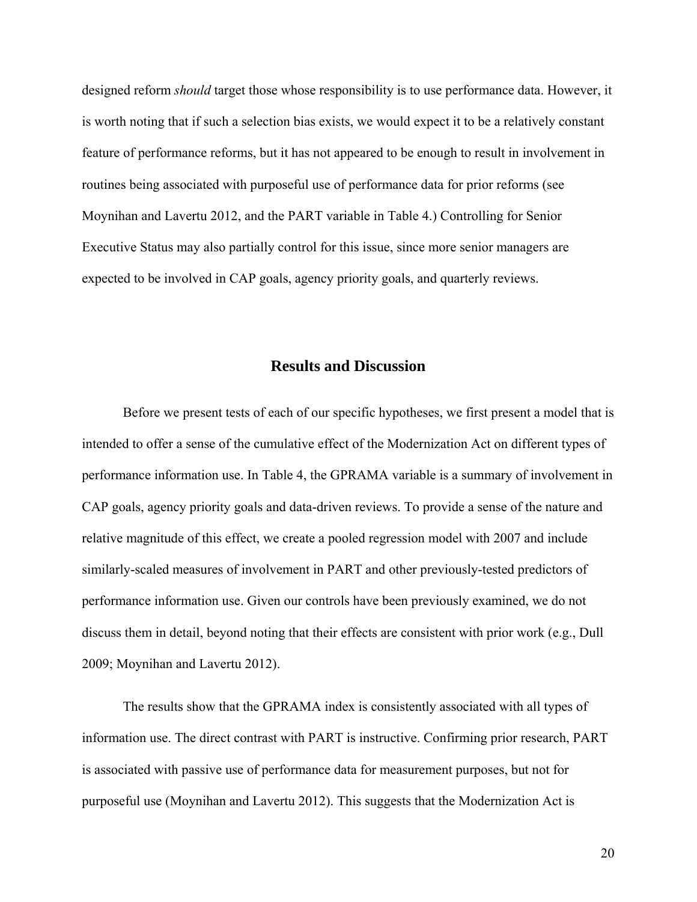designed reform *should* target those whose responsibility is to use performance data. However, it is worth noting that if such a selection bias exists, we would expect it to be a relatively constant feature of performance reforms, but it has not appeared to be enough to result in involvement in routines being associated with purposeful use of performance data for prior reforms (see Moynihan and Lavertu 2012, and the PART variable in Table 4.) Controlling for Senior Executive Status may also partially control for this issue, since more senior managers are expected to be involved in CAP goals, agency priority goals, and quarterly reviews.

# **Results and Discussion**

Before we present tests of each of our specific hypotheses, we first present a model that is intended to offer a sense of the cumulative effect of the Modernization Act on different types of performance information use. In Table 4, the GPRAMA variable is a summary of involvement in CAP goals, agency priority goals and data-driven reviews. To provide a sense of the nature and relative magnitude of this effect, we create a pooled regression model with 2007 and include similarly-scaled measures of involvement in PART and other previously-tested predictors of performance information use. Given our controls have been previously examined, we do not discuss them in detail, beyond noting that their effects are consistent with prior work (e.g., Dull 2009; Moynihan and Lavertu 2012).

The results show that the GPRAMA index is consistently associated with all types of information use. The direct contrast with PART is instructive. Confirming prior research, PART is associated with passive use of performance data for measurement purposes, but not for purposeful use (Moynihan and Lavertu 2012). This suggests that the Modernization Act is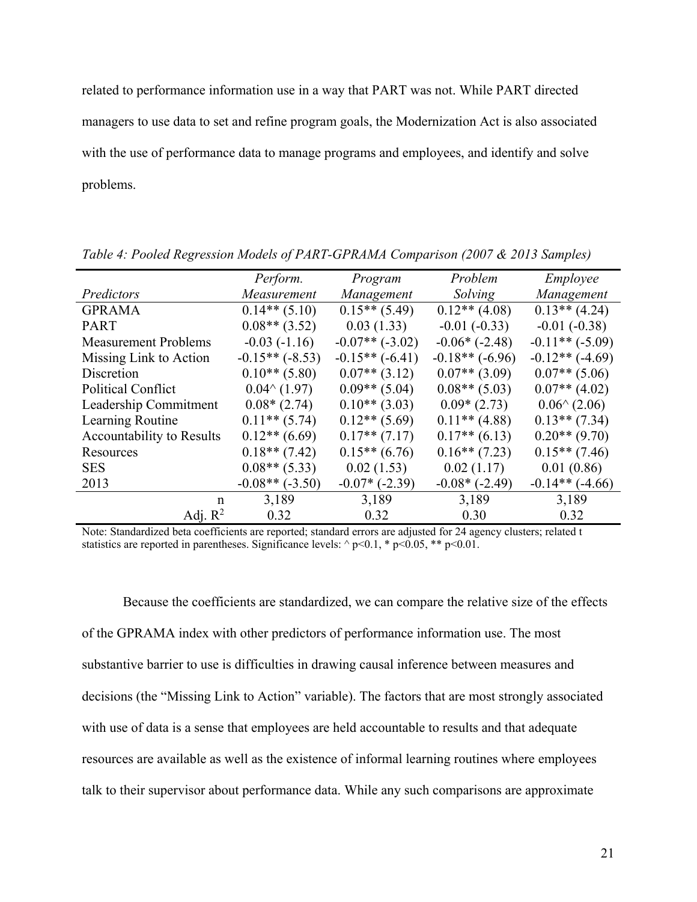related to performance information use in a way that PART was not. While PART directed managers to use data to set and refine program goals, the Modernization Act is also associated with the use of performance data to manage programs and employees, and identify and solve problems.

|                                  | Perform.               | Program              | Problem              | Employee               |  |
|----------------------------------|------------------------|----------------------|----------------------|------------------------|--|
| Predictors                       | Measurement            | Management           | Solving              | Management             |  |
| <b>GPRAMA</b>                    | $0.14**$ (5.10)        | $0.15**$ (5.49)      | $0.12**$ (4.08)      | $0.13**$ (4.24)        |  |
| <b>PART</b>                      | $0.08**$ (3.52)        | 0.03(1.33)           | $-0.01(-0.33)$       | $-0.01(-0.38)$         |  |
| <b>Measurement Problems</b>      | $-0.03(-1.16)$         | $-0.07**(-3.02)$     | $-0.06*$ ( $-2.48$ ) | $-0.11**(-5.09)$       |  |
| Missing Link to Action           | $-0.15**(-8.53)$       | $-0.15**(-6.41)$     | $-0.18**(-6.96)$     | $-0.12**$ $(-4.69)$    |  |
| Discretion                       | $0.10**$ (5.80)        | $0.07**$ (3.12)      | $0.07**$ (3.09)      | $0.07**$ (5.06)        |  |
| <b>Political Conflict</b>        | $0.04^{\wedge} (1.97)$ | $0.09**$ (5.04)      | $0.08**$ (5.03)      | $0.07**$ (4.02)        |  |
| Leadership Commitment            | $0.08*(2.74)$          | $0.10**$ (3.03)      | $0.09*(2.73)$        | $0.06^{\wedge}$ (2.06) |  |
| Learning Routine                 | $0.11**$ (5.74)        | $0.12**$ (5.69)      | $0.11**$ (4.88)      | $0.13**$ (7.34)        |  |
| <b>Accountability to Results</b> | $0.12**$ (6.69)        | $0.17**$ (7.17)      | $0.17**$ (6.13)      | $0.20**$ (9.70)        |  |
| Resources                        | $0.18**$ (7.42)        | $0.15**$ (6.76)      | $0.16**$ (7.23)      | $0.15**$ (7.46)        |  |
| <b>SES</b>                       | $0.08**$ (5.33)        | 0.02(1.53)           | 0.02(1.17)           | 0.01(0.86)             |  |
| 2013                             | $-0.08**(-3.50)$       | $-0.07*$ ( $-2.39$ ) | $-0.08*(-2.49)$      | $-0.14**$ ( $-4.66$ )  |  |
| n                                | 3,189                  | 3,189                | 3.189                | 3,189                  |  |
| Adj. $R^2$                       | 0.32                   | 0.32                 | 0.30                 | 0.32                   |  |

*Table 4: Pooled Regression Models of PART-GPRAMA Comparison (2007 & 2013 Samples)* 

Note: Standardized beta coefficients are reported; standard errors are adjusted for 24 agency clusters; related t statistics are reported in parentheses. Significance levels:  $\sim$  p<0.1, \* p<0.05, \*\* p<0.01.

Because the coefficients are standardized, we can compare the relative size of the effects of the GPRAMA index with other predictors of performance information use. The most substantive barrier to use is difficulties in drawing causal inference between measures and decisions (the "Missing Link to Action" variable). The factors that are most strongly associated with use of data is a sense that employees are held accountable to results and that adequate resources are available as well as the existence of informal learning routines where employees talk to their supervisor about performance data. While any such comparisons are approximate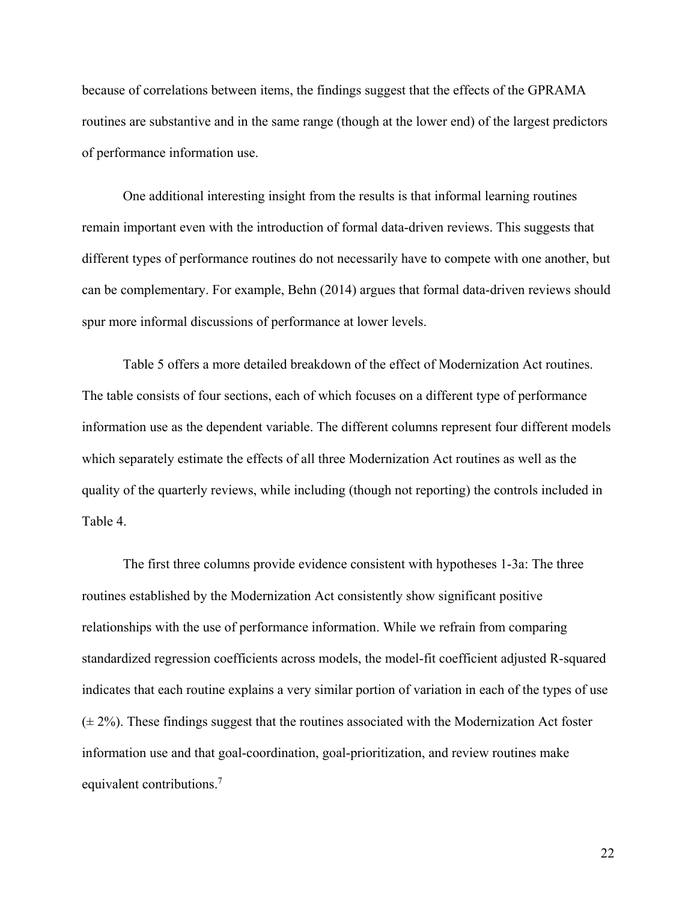because of correlations between items, the findings suggest that the effects of the GPRAMA routines are substantive and in the same range (though at the lower end) of the largest predictors of performance information use.

One additional interesting insight from the results is that informal learning routines remain important even with the introduction of formal data-driven reviews. This suggests that different types of performance routines do not necessarily have to compete with one another, but can be complementary. For example, Behn (2014) argues that formal data-driven reviews should spur more informal discussions of performance at lower levels.

Table 5 offers a more detailed breakdown of the effect of Modernization Act routines. The table consists of four sections, each of which focuses on a different type of performance information use as the dependent variable. The different columns represent four different models which separately estimate the effects of all three Modernization Act routines as well as the quality of the quarterly reviews, while including (though not reporting) the controls included in Table 4.

The first three columns provide evidence consistent with hypotheses 1-3a: The three routines established by the Modernization Act consistently show significant positive relationships with the use of performance information. While we refrain from comparing standardized regression coefficients across models, the model-fit coefficient adjusted R-squared indicates that each routine explains a very similar portion of variation in each of the types of use  $(\pm 2\%)$ . These findings suggest that the routines associated with the Modernization Act foster information use and that goal-coordination, goal-prioritization, and review routines make equivalent contributions.7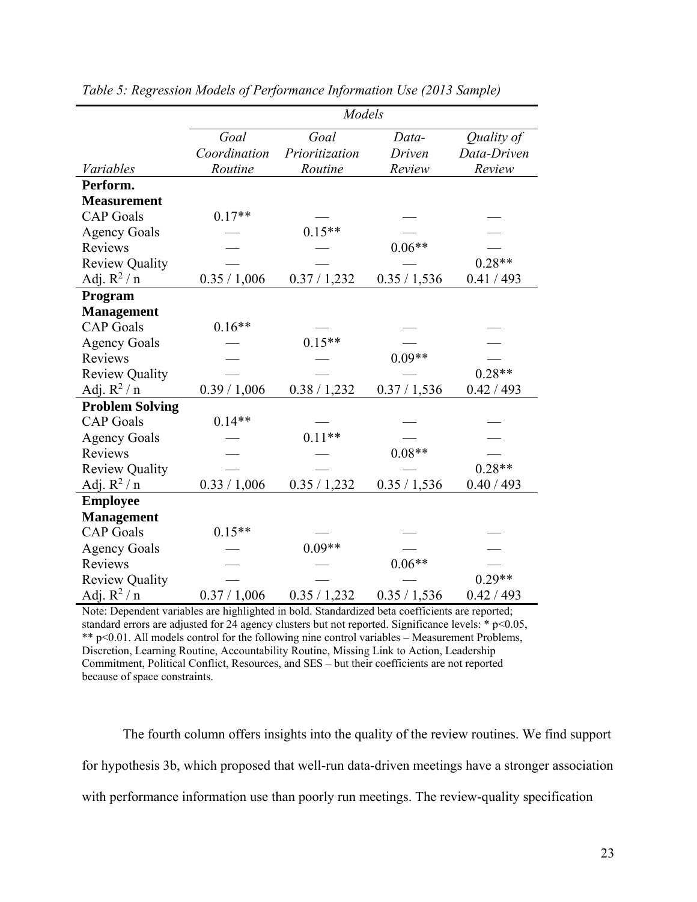|                        | Models       |                |              |             |  |
|------------------------|--------------|----------------|--------------|-------------|--|
|                        | Goal         | Goal           | Data-        | Quality of  |  |
|                        | Coordination | Prioritization | Driven       | Data-Driven |  |
| Variables              | Routine      | Routine        | Review       | Review      |  |
| Perform.               |              |                |              |             |  |
| <b>Measurement</b>     |              |                |              |             |  |
| <b>CAP</b> Goals       | $0.17**$     |                |              |             |  |
| <b>Agency Goals</b>    |              | $0.15**$       |              |             |  |
| Reviews                |              |                | $0.06**$     |             |  |
| <b>Review Quality</b>  |              |                |              | $0.28**$    |  |
| Adj. $R^2/n$           | 0.35 / 1,006 | 0.37 / 1,232   | 0.35 / 1,536 | 0.41 / 493  |  |
| Program                |              |                |              |             |  |
| <b>Management</b>      |              |                |              |             |  |
| <b>CAP</b> Goals       | $0.16**$     |                |              |             |  |
| <b>Agency Goals</b>    |              | $0.15**$       |              |             |  |
| Reviews                |              |                | $0.09**$     |             |  |
| <b>Review Quality</b>  |              |                |              | $0.28**$    |  |
| Adj. $R^2/n$           | 0.39 / 1,006 | 0.38 / 1,232   | 0.37 / 1,536 | 0.42 / 493  |  |
| <b>Problem Solving</b> |              |                |              |             |  |
| <b>CAP</b> Goals       | $0.14**$     |                |              |             |  |
| <b>Agency Goals</b>    |              | $0.11**$       |              |             |  |
| Reviews                |              |                | $0.08**$     |             |  |
| <b>Review Quality</b>  |              |                |              | $0.28**$    |  |
| Adj. $R^2/n$           | 0.33 / 1,006 | 0.35 / 1,232   | 0.35 / 1,536 | 0.40 / 493  |  |
| <b>Employee</b>        |              |                |              |             |  |
| <b>Management</b>      |              |                |              |             |  |
| <b>CAP</b> Goals       | $0.15**$     |                |              |             |  |
| <b>Agency Goals</b>    |              | $0.09**$       |              |             |  |
| Reviews                |              |                | $0.06**$     |             |  |
| <b>Review Quality</b>  |              |                |              | $0.29**$    |  |
| Adj. $R^2/n$           | 0.37 / 1,006 | 0.35 / 1,232   | 0.35 / 1,536 | 0.42 / 493  |  |

*Table 5: Regression Models of Performance Information Use (2013 Sample)* 

Note: Dependent variables are highlighted in bold. Standardized beta coefficients are reported; standard errors are adjusted for 24 agency clusters but not reported. Significance levels:  $*$  p<0.05, \*\* p<0.01. All models control for the following nine control variables – Measurement Problems, Discretion, Learning Routine, Accountability Routine, Missing Link to Action, Leadership Commitment, Political Conflict, Resources, and SES – but their coefficients are not reported because of space constraints.

The fourth column offers insights into the quality of the review routines. We find support for hypothesis 3b, which proposed that well-run data-driven meetings have a stronger association with performance information use than poorly run meetings. The review-quality specification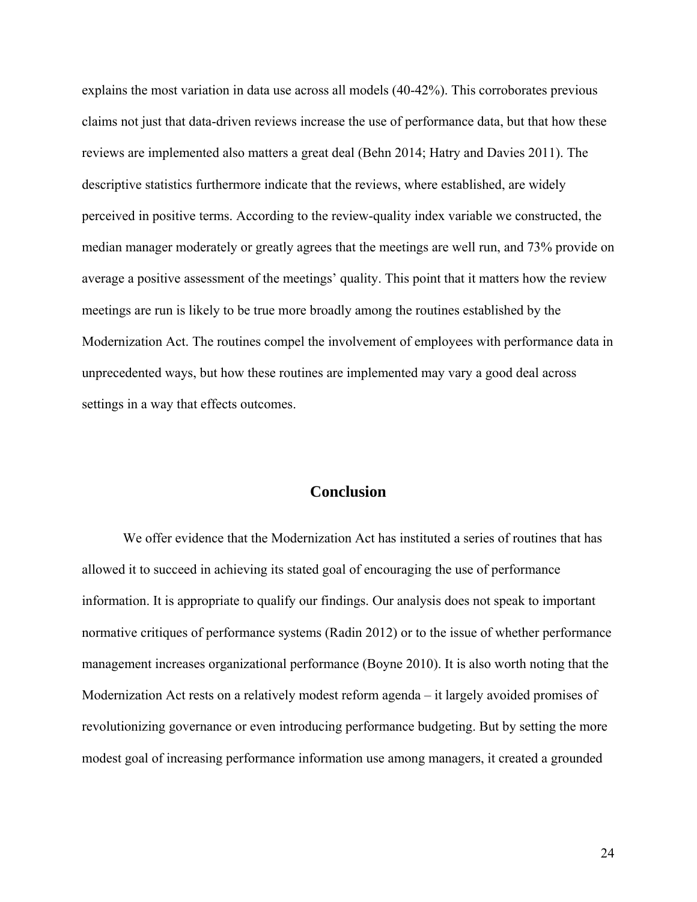explains the most variation in data use across all models (40-42%). This corroborates previous claims not just that data-driven reviews increase the use of performance data, but that how these reviews are implemented also matters a great deal (Behn 2014; Hatry and Davies 2011). The descriptive statistics furthermore indicate that the reviews, where established, are widely perceived in positive terms. According to the review-quality index variable we constructed, the median manager moderately or greatly agrees that the meetings are well run, and 73% provide on average a positive assessment of the meetings' quality. This point that it matters how the review meetings are run is likely to be true more broadly among the routines established by the Modernization Act. The routines compel the involvement of employees with performance data in unprecedented ways, but how these routines are implemented may vary a good deal across settings in a way that effects outcomes.

# **Conclusion**

We offer evidence that the Modernization Act has instituted a series of routines that has allowed it to succeed in achieving its stated goal of encouraging the use of performance information. It is appropriate to qualify our findings. Our analysis does not speak to important normative critiques of performance systems (Radin 2012) or to the issue of whether performance management increases organizational performance (Boyne 2010). It is also worth noting that the Modernization Act rests on a relatively modest reform agenda – it largely avoided promises of revolutionizing governance or even introducing performance budgeting. But by setting the more modest goal of increasing performance information use among managers, it created a grounded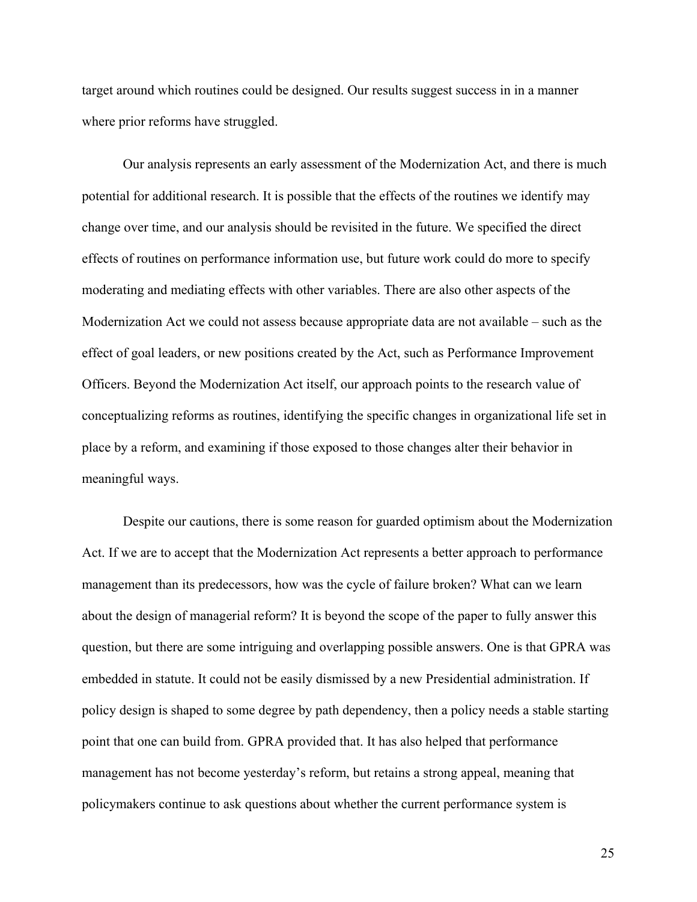target around which routines could be designed. Our results suggest success in in a manner where prior reforms have struggled.

Our analysis represents an early assessment of the Modernization Act, and there is much potential for additional research. It is possible that the effects of the routines we identify may change over time, and our analysis should be revisited in the future. We specified the direct effects of routines on performance information use, but future work could do more to specify moderating and mediating effects with other variables. There are also other aspects of the Modernization Act we could not assess because appropriate data are not available – such as the effect of goal leaders, or new positions created by the Act, such as Performance Improvement Officers. Beyond the Modernization Act itself, our approach points to the research value of conceptualizing reforms as routines, identifying the specific changes in organizational life set in place by a reform, and examining if those exposed to those changes alter their behavior in meaningful ways.

Despite our cautions, there is some reason for guarded optimism about the Modernization Act. If we are to accept that the Modernization Act represents a better approach to performance management than its predecessors, how was the cycle of failure broken? What can we learn about the design of managerial reform? It is beyond the scope of the paper to fully answer this question, but there are some intriguing and overlapping possible answers. One is that GPRA was embedded in statute. It could not be easily dismissed by a new Presidential administration. If policy design is shaped to some degree by path dependency, then a policy needs a stable starting point that one can build from. GPRA provided that. It has also helped that performance management has not become yesterday's reform, but retains a strong appeal, meaning that policymakers continue to ask questions about whether the current performance system is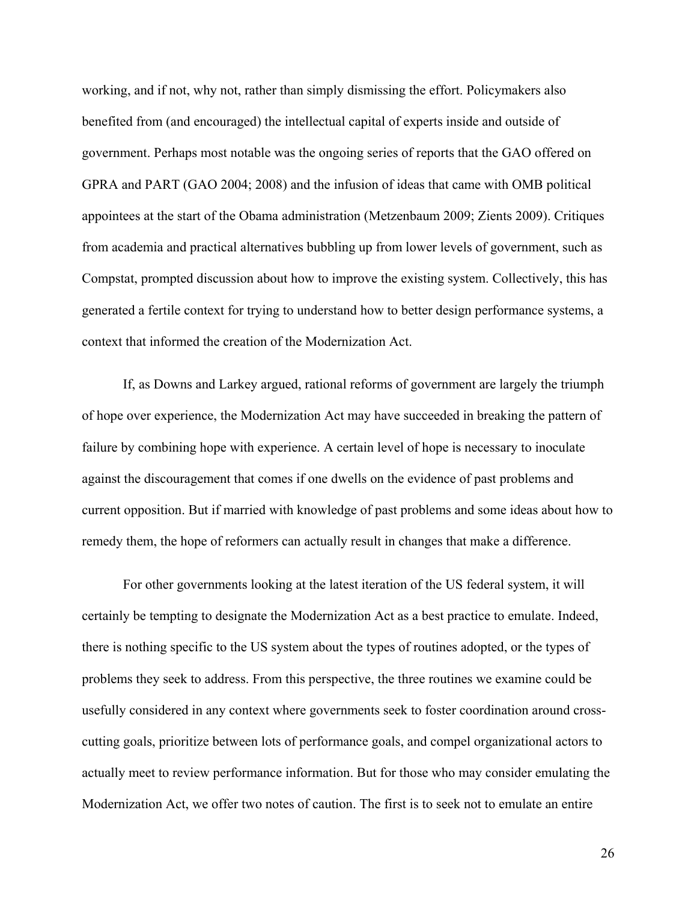working, and if not, why not, rather than simply dismissing the effort. Policymakers also benefited from (and encouraged) the intellectual capital of experts inside and outside of government. Perhaps most notable was the ongoing series of reports that the GAO offered on GPRA and PART (GAO 2004; 2008) and the infusion of ideas that came with OMB political appointees at the start of the Obama administration (Metzenbaum 2009; Zients 2009). Critiques from academia and practical alternatives bubbling up from lower levels of government, such as Compstat, prompted discussion about how to improve the existing system. Collectively, this has generated a fertile context for trying to understand how to better design performance systems, a context that informed the creation of the Modernization Act.

If, as Downs and Larkey argued, rational reforms of government are largely the triumph of hope over experience, the Modernization Act may have succeeded in breaking the pattern of failure by combining hope with experience. A certain level of hope is necessary to inoculate against the discouragement that comes if one dwells on the evidence of past problems and current opposition. But if married with knowledge of past problems and some ideas about how to remedy them, the hope of reformers can actually result in changes that make a difference.

For other governments looking at the latest iteration of the US federal system, it will certainly be tempting to designate the Modernization Act as a best practice to emulate. Indeed, there is nothing specific to the US system about the types of routines adopted, or the types of problems they seek to address. From this perspective, the three routines we examine could be usefully considered in any context where governments seek to foster coordination around crosscutting goals, prioritize between lots of performance goals, and compel organizational actors to actually meet to review performance information. But for those who may consider emulating the Modernization Act, we offer two notes of caution. The first is to seek not to emulate an entire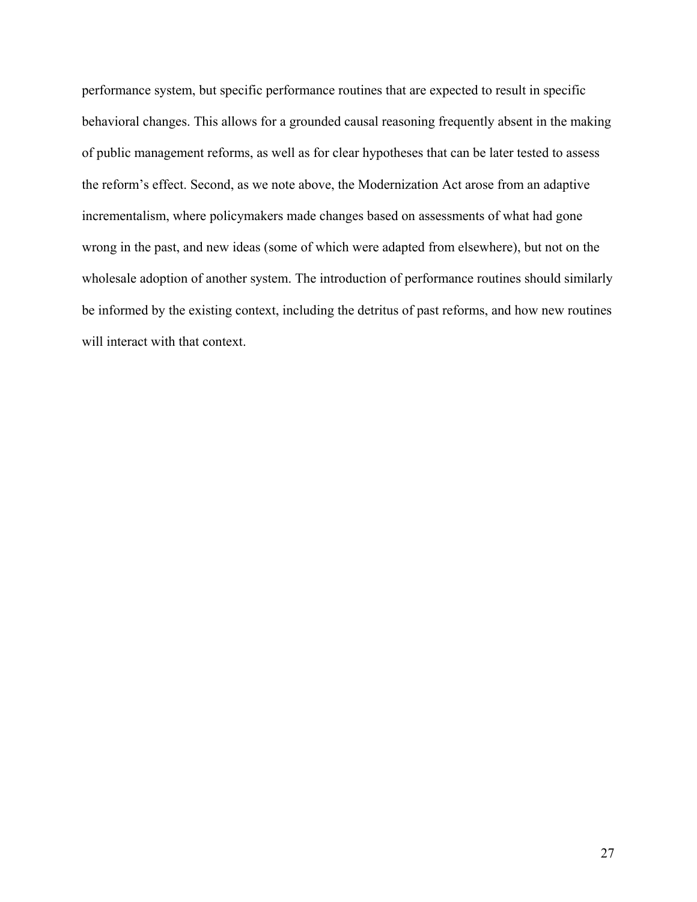performance system, but specific performance routines that are expected to result in specific behavioral changes. This allows for a grounded causal reasoning frequently absent in the making of public management reforms, as well as for clear hypotheses that can be later tested to assess the reform's effect. Second, as we note above, the Modernization Act arose from an adaptive incrementalism, where policymakers made changes based on assessments of what had gone wrong in the past, and new ideas (some of which were adapted from elsewhere), but not on the wholesale adoption of another system. The introduction of performance routines should similarly be informed by the existing context, including the detritus of past reforms, and how new routines will interact with that context.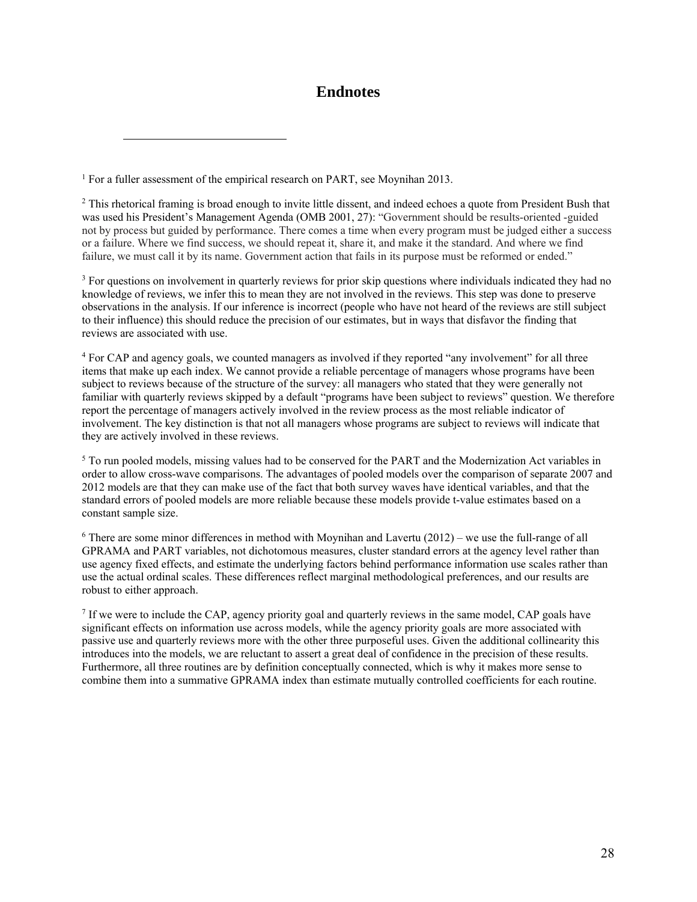# **Endnotes**

<sup>1</sup> For a fuller assessment of the empirical research on PART, see Moynihan 2013.

 $\overline{a}$ 

<sup>2</sup> This rhetorical framing is broad enough to invite little dissent, and indeed echoes a quote from President Bush that was used his President's Management Agenda (OMB 2001, 27): "Government should be results-oriented -guided not by process but guided by performance. There comes a time when every program must be judged either a success or a failure. Where we find success, we should repeat it, share it, and make it the standard. And where we find failure, we must call it by its name. Government action that fails in its purpose must be reformed or ended."

<sup>3</sup> For questions on involvement in quarterly reviews for prior skip questions where individuals indicated they had no knowledge of reviews, we infer this to mean they are not involved in the reviews. This step was done to preserve observations in the analysis. If our inference is incorrect (people who have not heard of the reviews are still subject to their influence) this should reduce the precision of our estimates, but in ways that disfavor the finding that reviews are associated with use.

4 For CAP and agency goals, we counted managers as involved if they reported "any involvement" for all three items that make up each index. We cannot provide a reliable percentage of managers whose programs have been subject to reviews because of the structure of the survey: all managers who stated that they were generally not familiar with quarterly reviews skipped by a default "programs have been subject to reviews" question. We therefore report the percentage of managers actively involved in the review process as the most reliable indicator of involvement. The key distinction is that not all managers whose programs are subject to reviews will indicate that they are actively involved in these reviews.

<sup>5</sup> To run pooled models, missing values had to be conserved for the PART and the Modernization Act variables in order to allow cross-wave comparisons. The advantages of pooled models over the comparison of separate 2007 and 2012 models are that they can make use of the fact that both survey waves have identical variables, and that the standard errors of pooled models are more reliable because these models provide t-value estimates based on a constant sample size.

<sup>6</sup> There are some minor differences in method with Moynihan and Lavertu (2012) – we use the full-range of all GPRAMA and PART variables, not dichotomous measures, cluster standard errors at the agency level rather than use agency fixed effects, and estimate the underlying factors behind performance information use scales rather than use the actual ordinal scales. These differences reflect marginal methodological preferences, and our results are robust to either approach.

<sup>7</sup> If we were to include the CAP, agency priority goal and quarterly reviews in the same model, CAP goals have significant effects on information use across models, while the agency priority goals are more associated with passive use and quarterly reviews more with the other three purposeful uses. Given the additional collinearity this introduces into the models, we are reluctant to assert a great deal of confidence in the precision of these results. Furthermore, all three routines are by definition conceptually connected, which is why it makes more sense to combine them into a summative GPRAMA index than estimate mutually controlled coefficients for each routine.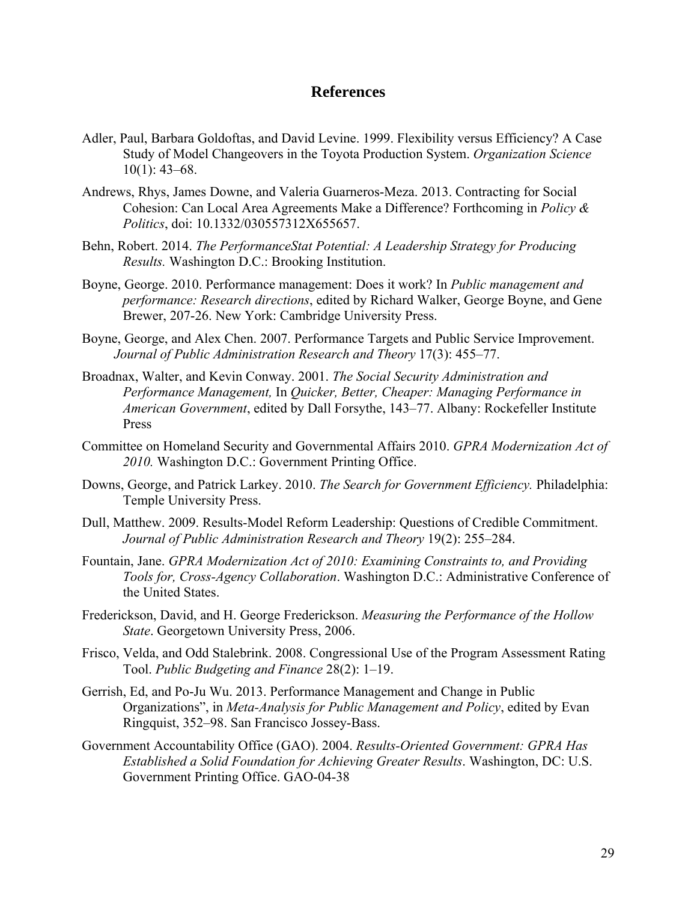# **References**

- Adler, Paul, Barbara Goldoftas, and David Levine. 1999. Flexibility versus Efficiency? A Case Study of Model Changeovers in the Toyota Production System. *Organization Science*   $10(1)$ : 43–68.
- Andrews, Rhys, James Downe, and Valeria Guarneros-Meza. 2013. Contracting for Social Cohesion: Can Local Area Agreements Make a Difference? Forthcoming in *Policy & Politics*, doi: 10.1332/030557312X655657.
- Behn, Robert. 2014. *The PerformanceStat Potential: A Leadership Strategy for Producing Results.* Washington D.C.: Brooking Institution.
- Boyne, George. 2010. Performance management: Does it work? In *Public management and performance: Research directions*, edited by Richard Walker, George Boyne, and Gene Brewer, 207-26. New York: Cambridge University Press.
- Boyne, George, and Alex Chen. 2007. Performance Targets and Public Service Improvement. *Journal of Public Administration Research and Theory* 17(3): 455–77.
- Broadnax, Walter, and Kevin Conway. 2001. *The Social Security Administration and Performance Management,* In *Quicker, Better, Cheaper: Managing Performance in American Government*, edited by Dall Forsythe, 143–77. Albany: Rockefeller Institute Press
- Committee on Homeland Security and Governmental Affairs 2010. *GPRA Modernization Act of 2010.* Washington D.C.: Government Printing Office.
- Downs, George, and Patrick Larkey. 2010. *The Search for Government Efficiency.* Philadelphia: Temple University Press.
- Dull, Matthew. 2009. Results-Model Reform Leadership: Questions of Credible Commitment. *Journal of Public Administration Research and Theory* 19(2): 255–284.
- Fountain, Jane. *GPRA Modernization Act of 2010: Examining Constraints to, and Providing Tools for, Cross-Agency Collaboration*. Washington D.C.: Administrative Conference of the United States.
- Frederickson, David, and H. George Frederickson. *Measuring the Performance of the Hollow State*. Georgetown University Press, 2006.
- Frisco, Velda, and Odd Stalebrink. 2008. Congressional Use of the Program Assessment Rating Tool. *Public Budgeting and Finance* 28(2): 1–19.
- Gerrish, Ed, and Po-Ju Wu. 2013. Performance Management and Change in Public Organizations", in *Meta-Analysis for Public Management and Policy*, edited by Evan Ringquist, 352–98. San Francisco Jossey-Bass.
- Government Accountability Office (GAO). 2004. *Results-Oriented Government: GPRA Has Established a Solid Foundation for Achieving Greater Results*. Washington, DC: U.S. Government Printing Office. GAO-04-38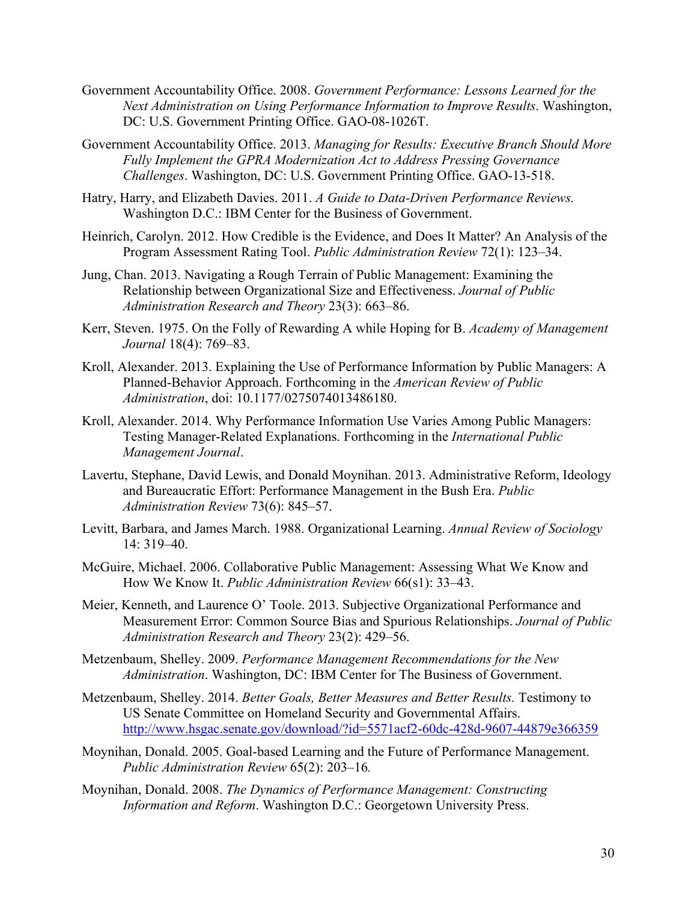- Government Accountability Office. 2008. *Government Performance: Lessons Learned for the Next Administration on Using Performance Information to Improve Results*. Washington, DC: U.S. Government Printing Office. GAO-08-1026T.
- Government Accountability Office. 2013. *Managing for Results: Executive Branch Should More Fully Implement the GPRA Modernization Act to Address Pressing Governance Challenges*. Washington, DC: U.S. Government Printing Office. GAO-13-518.
- Hatry, Harry, and Elizabeth Davies. 2011. *A Guide to Data-Driven Performance Reviews.*  Washington D.C.: IBM Center for the Business of Government.
- Heinrich, Carolyn. 2012. How Credible is the Evidence, and Does It Matter? An Analysis of the Program Assessment Rating Tool. *Public Administration Review* 72(1): 123–34.
- Jung, Chan. 2013. Navigating a Rough Terrain of Public Management: Examining the Relationship between Organizational Size and Effectiveness. *Journal of Public Administration Research and Theory* 23(3): 663–86.
- Kerr, Steven. 1975. On the Folly of Rewarding A while Hoping for B. *Academy of Management Journal* 18(4): 769–83.
- Kroll, Alexander. 2013. Explaining the Use of Performance Information by Public Managers: A Planned-Behavior Approach. Forthcoming in the *American Review of Public Administration*, doi: 10.1177/0275074013486180.
- Kroll, Alexander. 2014. Why Performance Information Use Varies Among Public Managers: Testing Manager-Related Explanations. Forthcoming in the *International Public Management Journal*.
- Lavertu, Stephane, David Lewis, and Donald Moynihan. 2013. Administrative Reform, Ideology and Bureaucratic Effort: Performance Management in the Bush Era. *Public Administration Review* 73(6): 845–57.
- Levitt, Barbara, and James March. 1988. Organizational Learning. *Annual Review of Sociology*  14: 319–40.
- McGuire, Michael. 2006. Collaborative Public Management: Assessing What We Know and How We Know It. *Public Administration Review* 66(s1): 33–43.
- Meier, Kenneth, and Laurence O' Toole. 2013. Subjective Organizational Performance and Measurement Error: Common Source Bias and Spurious Relationships. *Journal of Public Administration Research and Theory* 23(2): 429–56.
- Metzenbaum, Shelley. 2009. *Performance Management Recommendations for the New Administration*. Washington, DC: IBM Center for The Business of Government.
- Metzenbaum, Shelley. 2014. *Better Goals, Better Measures and Better Results.* Testimony to US Senate Committee on Homeland Security and Governmental Affairs. http://www.hsgac.senate.gov/download/?id=5571acf2-60dc-428d-9607-44879e366359
- Moynihan, Donald. 2005. Goal-based Learning and the Future of Performance Management. *Public Administration Review* 65(2): 203–16*.*
- Moynihan, Donald. 2008. *The Dynamics of Performance Management: Constructing Information and Reform*. Washington D.C.: Georgetown University Press.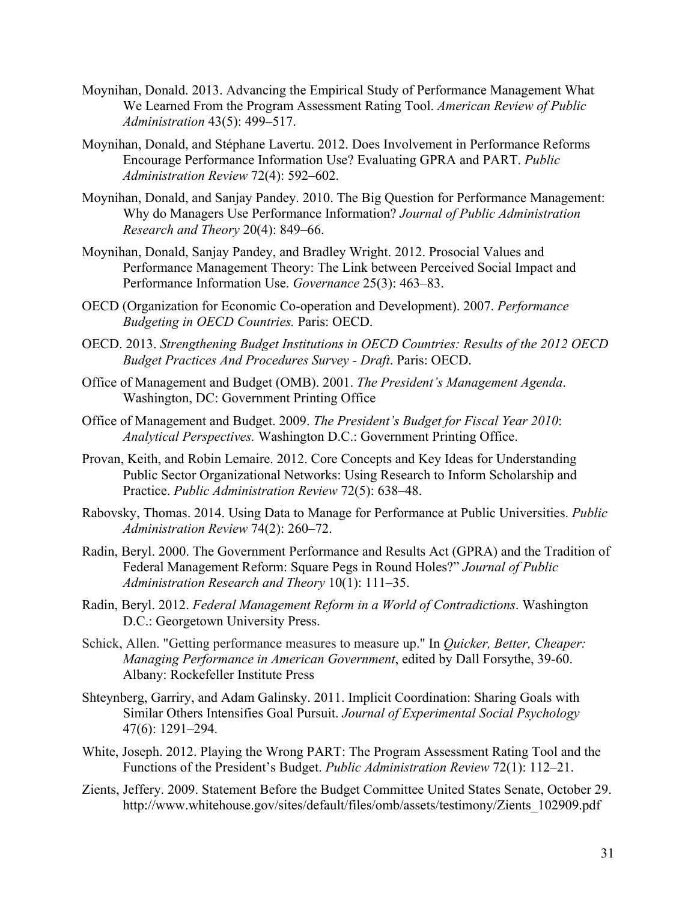- Moynihan, Donald. 2013. Advancing the Empirical Study of Performance Management What We Learned From the Program Assessment Rating Tool. *American Review of Public Administration* 43(5): 499–517.
- Moynihan, Donald, and Stéphane Lavertu. 2012. Does Involvement in Performance Reforms Encourage Performance Information Use? Evaluating GPRA and PART. *Public Administration Review* 72(4): 592–602.
- Moynihan, Donald, and Sanjay Pandey. 2010. The Big Question for Performance Management: Why do Managers Use Performance Information? *Journal of Public Administration Research and Theory* 20(4): 849–66.
- Moynihan, Donald, Sanjay Pandey, and Bradley Wright. 2012. Prosocial Values and Performance Management Theory: The Link between Perceived Social Impact and Performance Information Use. *Governance* 25(3): 463–83.
- OECD (Organization for Economic Co-operation and Development). 2007. *Performance Budgeting in OECD Countries.* Paris: OECD.
- OECD. 2013. *Strengthening Budget Institutions in OECD Countries: Results of the 2012 OECD Budget Practices And Procedures Survey - Draft*. Paris: OECD.
- Office of Management and Budget (OMB). 2001. *The President's Management Agenda*. Washington, DC: Government Printing Office
- Office of Management and Budget. 2009. *The President's Budget for Fiscal Year 2010*: *Analytical Perspectives.* Washington D.C.: Government Printing Office.
- Provan, Keith, and Robin Lemaire. 2012. Core Concepts and Key Ideas for Understanding Public Sector Organizational Networks: Using Research to Inform Scholarship and Practice. *Public Administration Review* 72(5): 638–48.
- Rabovsky, Thomas. 2014. Using Data to Manage for Performance at Public Universities. *Public Administration Review* 74(2): 260–72.
- Radin, Beryl. 2000. The Government Performance and Results Act (GPRA) and the Tradition of Federal Management Reform: Square Pegs in Round Holes?" *Journal of Public Administration Research and Theory* 10(1): 111–35.
- Radin, Beryl. 2012. *Federal Management Reform in a World of Contradictions*. Washington D.C.: Georgetown University Press.
- Schick, Allen. "Getting performance measures to measure up." In *Quicker, Better, Cheaper: Managing Performance in American Government*, edited by Dall Forsythe, 39-60. Albany: Rockefeller Institute Press
- Shteynberg, Garriry, and Adam Galinsky. 2011. Implicit Coordination: Sharing Goals with Similar Others Intensifies Goal Pursuit. *Journal of Experimental Social Psychology* 47(6): 1291–294.
- White, Joseph. 2012. Playing the Wrong PART: The Program Assessment Rating Tool and the Functions of the President's Budget. *Public Administration Review* 72(1): 112–21.
- Zients, Jeffery. 2009. Statement Before the Budget Committee United States Senate, October 29. http://www.whitehouse.gov/sites/default/files/omb/assets/testimony/Zients\_102909.pdf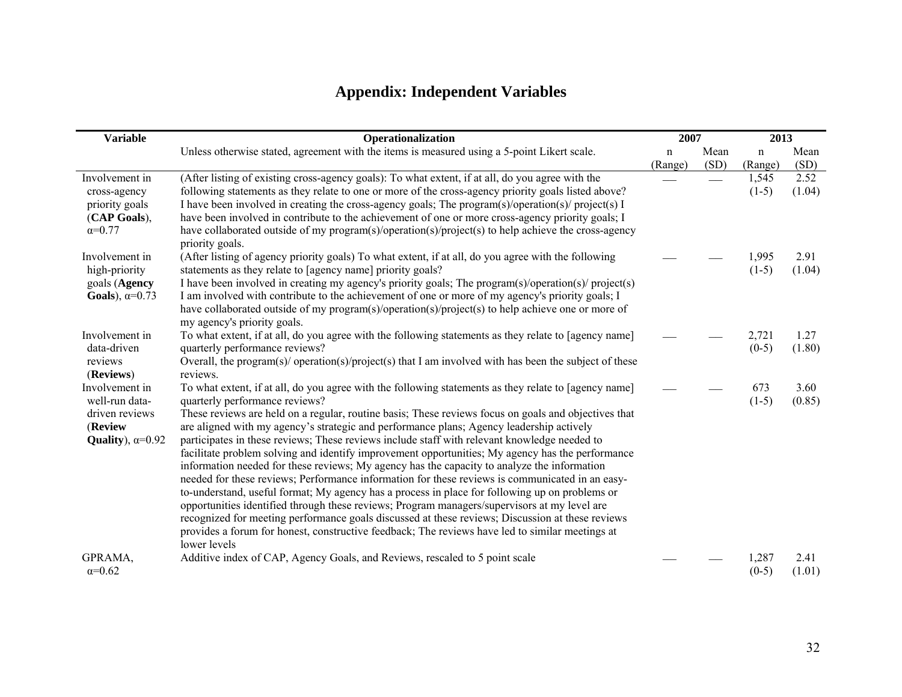# **Appendix: Independent Variables**

| <b>Variable</b>                                                                          | Operationalization                                                                                                                                                                                                                                                                                                                                                                                                                                                                                                                                                                                                                                                                                                                                                                                                                                                                                                                                                                                                                                                                                                                                                         | 2007                   |              | 2013                   |                |
|------------------------------------------------------------------------------------------|----------------------------------------------------------------------------------------------------------------------------------------------------------------------------------------------------------------------------------------------------------------------------------------------------------------------------------------------------------------------------------------------------------------------------------------------------------------------------------------------------------------------------------------------------------------------------------------------------------------------------------------------------------------------------------------------------------------------------------------------------------------------------------------------------------------------------------------------------------------------------------------------------------------------------------------------------------------------------------------------------------------------------------------------------------------------------------------------------------------------------------------------------------------------------|------------------------|--------------|------------------------|----------------|
|                                                                                          | Unless otherwise stated, agreement with the items is measured using a 5-point Likert scale.                                                                                                                                                                                                                                                                                                                                                                                                                                                                                                                                                                                                                                                                                                                                                                                                                                                                                                                                                                                                                                                                                | $\mathbf n$<br>(Range) | Mean<br>(SD) | $\mathbf n$<br>(Range) | Mean<br>(SD)   |
| Involvement in<br>cross-agency<br>priority goals<br>(CAP Goals),<br>$\alpha = 0.77$      | (After listing of existing cross-agency goals): To what extent, if at all, do you agree with the<br>following statements as they relate to one or more of the cross-agency priority goals listed above?<br>I have been involved in creating the cross-agency goals; The program(s)/operation(s)/ project(s) I<br>have been involved in contribute to the achievement of one or more cross-agency priority goals; I<br>have collaborated outside of my program(s)/operation(s)/project(s) to help achieve the cross-agency<br>priority goals.                                                                                                                                                                                                                                                                                                                                                                                                                                                                                                                                                                                                                               |                        |              | 1,545<br>$(1-5)$       | 2.52<br>(1.04) |
| Involvement in<br>high-priority<br>goals (Agency<br>Goals), $\alpha=0.73$                | (After listing of agency priority goals) To what extent, if at all, do you agree with the following<br>statements as they relate to [agency name] priority goals?<br>I have been involved in creating my agency's priority goals; The program(s)/operation(s)/ project(s)<br>I am involved with contribute to the achievement of one or more of my agency's priority goals; I<br>have collaborated outside of my program(s)/operation(s)/project(s) to help achieve one or more of<br>my agency's priority goals.                                                                                                                                                                                                                                                                                                                                                                                                                                                                                                                                                                                                                                                          |                        |              | 1,995<br>$(1-5)$       | 2.91<br>(1.04) |
| Involvement in<br>data-driven<br>reviews<br>(Reviews)                                    | To what extent, if at all, do you agree with the following statements as they relate to [agency name]<br>quarterly performance reviews?<br>Overall, the program(s)/ operation(s)/project(s) that I am involved with has been the subject of these<br>reviews.                                                                                                                                                                                                                                                                                                                                                                                                                                                                                                                                                                                                                                                                                                                                                                                                                                                                                                              |                        |              | 2,721<br>$(0-5)$       | 1.27<br>(1.80) |
| Involvement in<br>well-run data-<br>driven reviews<br>(Review<br>Quality), $\alpha=0.92$ | To what extent, if at all, do you agree with the following statements as they relate to [agency name]<br>quarterly performance reviews?<br>These reviews are held on a regular, routine basis; These reviews focus on goals and objectives that<br>are aligned with my agency's strategic and performance plans; Agency leadership actively<br>participates in these reviews; These reviews include staff with relevant knowledge needed to<br>facilitate problem solving and identify improvement opportunities; My agency has the performance<br>information needed for these reviews; My agency has the capacity to analyze the information<br>needed for these reviews; Performance information for these reviews is communicated in an easy-<br>to-understand, useful format; My agency has a process in place for following up on problems or<br>opportunities identified through these reviews; Program managers/supervisors at my level are<br>recognized for meeting performance goals discussed at these reviews; Discussion at these reviews<br>provides a forum for honest, constructive feedback; The reviews have led to similar meetings at<br>lower levels |                        |              | 673<br>$(1-5)$         | 3.60<br>(0.85) |
| GPRAMA,<br>$\alpha = 0.62$                                                               | Additive index of CAP, Agency Goals, and Reviews, rescaled to 5 point scale                                                                                                                                                                                                                                                                                                                                                                                                                                                                                                                                                                                                                                                                                                                                                                                                                                                                                                                                                                                                                                                                                                |                        |              | 1,287<br>$(0-5)$       | 2.41<br>(1.01) |